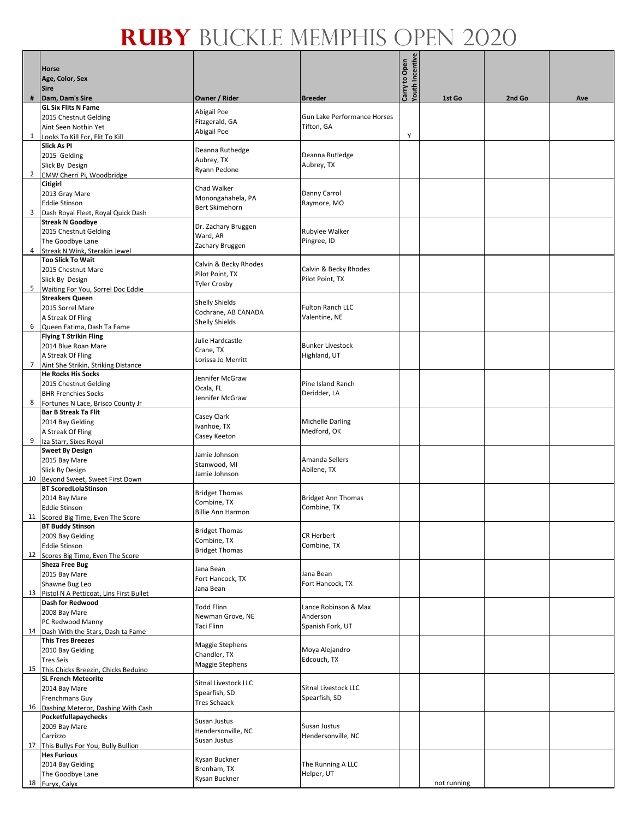|                |                                                                      |                                      |                                          | Carry to Open<br>Youth Incentive |             |        |     |
|----------------|----------------------------------------------------------------------|--------------------------------------|------------------------------------------|----------------------------------|-------------|--------|-----|
|                | <b>Horse</b>                                                         |                                      |                                          |                                  |             |        |     |
|                | Age, Color, Sex                                                      |                                      |                                          |                                  |             |        |     |
| #              | <b>Sire</b><br>Dam, Dam's Sire                                       | Owner / Rider                        | <b>Breeder</b>                           |                                  | 1st Go      | 2nd Go | Ave |
|                | <b>GL Six Flits N Fame</b>                                           |                                      |                                          |                                  |             |        |     |
|                | 2015 Chestnut Gelding                                                | Abigail Poe<br>Fitzgerald, GA        | Gun Lake Performance Horses              |                                  |             |        |     |
|                | Aint Seen Nothin Yet                                                 | Abigail Poe                          | Tifton, GA                               |                                  |             |        |     |
| 1              | Looks To Kill For, Flit To Kill                                      |                                      |                                          | Υ                                |             |        |     |
|                | <b>Slick As PI</b><br>2015 Gelding                                   | Deanna Ruthedge                      | Deanna Rutledge                          |                                  |             |        |     |
|                | Slick By Design                                                      | Aubrey, TX                           | Aubrey, TX                               |                                  |             |        |     |
|                | 2 EMW Cherri Pi, Woodbridge                                          | Ryann Pedone                         |                                          |                                  |             |        |     |
|                | <b>Citigirl</b>                                                      | Chad Walker                          |                                          |                                  |             |        |     |
|                | 2013 Gray Mare                                                       | Monongahahela, PA                    | Danny Carrol                             |                                  |             |        |     |
|                | <b>Eddie Stinson</b><br>3 Dash Royal Fleet, Royal Quick Dash         | <b>Bert Skimehorn</b>                | Raymore, MO                              |                                  |             |        |     |
|                | <b>Streak N Goodbye</b>                                              |                                      |                                          |                                  |             |        |     |
|                | 2015 Chestnut Gelding                                                | Dr. Zachary Bruggen<br>Ward, AR      | Rubylee Walker                           |                                  |             |        |     |
|                | The Goodbye Lane                                                     | Zachary Bruggen                      | Pingree, ID                              |                                  |             |        |     |
| 4              | Streak N Wink, Sterakin Jewel<br><b>Too Slick To Wait</b>            |                                      |                                          |                                  |             |        |     |
|                | 2015 Chestnut Mare                                                   | Calvin & Becky Rhodes                | Calvin & Becky Rhodes                    |                                  |             |        |     |
|                | Slick By Design                                                      | Pilot Point, TX                      | Pilot Point, TX                          |                                  |             |        |     |
| 5              | Waiting For You, Sorrel Doc Eddie                                    | <b>Tyler Crosby</b>                  |                                          |                                  |             |        |     |
|                | <b>Streakers Queen</b>                                               | <b>Shelly Shields</b>                |                                          |                                  |             |        |     |
|                | 2015 Sorrel Mare<br>A Streak Of Fling                                | Cochrane, AB CANADA                  | <b>Fulton Ranch LLC</b><br>Valentine, NE |                                  |             |        |     |
| 6              | Queen Fatima, Dash Ta Fame                                           | <b>Shelly Shields</b>                |                                          |                                  |             |        |     |
|                | <b>Flying T Strikin Fling</b>                                        | Julie Hardcastle                     |                                          |                                  |             |        |     |
|                | 2014 Blue Roan Mare                                                  | Crane, TX                            | <b>Bunker Livestock</b>                  |                                  |             |        |     |
| $\overline{7}$ | A Streak Of Fling                                                    | Lorissa Jo Merritt                   | Highland, UT                             |                                  |             |        |     |
|                | Aint She Strikin, Striking Distance<br><b>He Rocks His Socks</b>     |                                      |                                          |                                  |             |        |     |
|                | 2015 Chestnut Gelding                                                | Jennifer McGraw                      | Pine Island Ranch                        |                                  |             |        |     |
|                | <b>BHR Frenchies Socks</b>                                           | Ocala, FL<br>Jennifer McGraw         | Deridder, LA                             |                                  |             |        |     |
| 8              | Fortunes N Lace, Brisco County Jr                                    |                                      |                                          |                                  |             |        |     |
|                | <b>Bar B Streak Ta Flit</b><br>2014 Bay Gelding                      | Casey Clark                          | <b>Michelle Darling</b>                  |                                  |             |        |     |
|                | A Streak Of Fling                                                    | Ivanhoe, TX                          | Medford, OK                              |                                  |             |        |     |
|                | 9 Iza Starr, Sixes Royal                                             | Casey Keeton                         |                                          |                                  |             |        |     |
|                | <b>Sweet By Design</b>                                               | Jamie Johnson                        |                                          |                                  |             |        |     |
|                | 2015 Bay Mare                                                        | Stanwood, MI                         | Amanda Sellers                           |                                  |             |        |     |
|                | Slick By Design<br>10 Beyond Sweet, Sweet First Down                 | Jamie Johnson                        | Abilene, TX                              |                                  |             |        |     |
|                | <b>BT ScoredLolaStinson</b>                                          |                                      |                                          |                                  |             |        |     |
|                | 2014 Bay Mare                                                        | <b>Bridget Thomas</b><br>Combine, TX | <b>Bridget Ann Thomas</b>                |                                  |             |        |     |
|                | <b>Eddie Stinson</b>                                                 | <b>Billie Ann Harmon</b>             | Combine, TX                              |                                  |             |        |     |
|                | 11 Scored Big Time, Even The Score<br><b>BT Buddy Stinson</b>        |                                      |                                          |                                  |             |        |     |
|                | 2009 Bay Gelding                                                     | <b>Bridget Thomas</b>                | CR Herbert                               |                                  |             |        |     |
|                | <b>Eddie Stinson</b>                                                 | Combine, TX<br><b>Bridget Thomas</b> | Combine, TX                              |                                  |             |        |     |
|                | 12 Scores Big Time, Even The Score                                   |                                      |                                          |                                  |             |        |     |
|                | <b>Sheza Free Bug</b><br>2015 Bay Mare                               | Jana Bean                            | Jana Bean                                |                                  |             |        |     |
|                | Shawne Bug Leo                                                       | Fort Hancock, TX                     | Fort Hancock, TX                         |                                  |             |        |     |
|                | 13 Pistol N A Petticoat, Lins First Bullet                           | Jana Bean                            |                                          |                                  |             |        |     |
|                | <b>Dash for Redwood</b>                                              | <b>Todd Flinn</b>                    | Lance Robinson & Max                     |                                  |             |        |     |
|                | 2008 Bay Mare                                                        | Newman Grove, NE                     | Anderson                                 |                                  |             |        |     |
|                | PC Redwood Manny<br>14 Dash With the Stars, Dash ta Fame             | Taci Flinn                           | Spanish Fork, UT                         |                                  |             |        |     |
|                | <b>This Tres Breezes</b>                                             |                                      |                                          |                                  |             |        |     |
|                | 2010 Bay Gelding                                                     | Maggie Stephens<br>Chandler, TX      | Moya Alejandro                           |                                  |             |        |     |
|                | <b>Tres Seis</b>                                                     | Maggie Stephens                      | Edcouch, TX                              |                                  |             |        |     |
|                | 15 This Chicks Breezin, Chicks Beduino<br><b>SL French Meteorite</b> |                                      |                                          |                                  |             |        |     |
|                | 2014 Bay Mare                                                        | Sitnal Livestock LLC                 | Sitnal Livestock LLC                     |                                  |             |        |     |
|                | Frenchmans Guy                                                       | Spearfish, SD<br><b>Tres Schaack</b> | Spearfish, SD                            |                                  |             |        |     |
|                | 16 Dashing Meteror, Dashing With Cash                                |                                      |                                          |                                  |             |        |     |
|                | Pocketfullapaychecks<br>2009 Bay Mare                                | Susan Justus                         | Susan Justus                             |                                  |             |        |     |
|                | Carrizzo                                                             | Hendersonville, NC                   | Hendersonville, NC                       |                                  |             |        |     |
|                | 17 This Bullys For You, Bully Bullion                                | Susan Justus                         |                                          |                                  |             |        |     |
|                | <b>Hes Furious</b>                                                   | Kysan Buckner                        |                                          |                                  |             |        |     |
|                | 2014 Bay Gelding<br>The Goodbye Lane                                 | Brenham, TX                          | The Running A LLC<br>Helper, UT          |                                  |             |        |     |
|                | 18 Furyx, Calyx                                                      | Kysan Buckner                        |                                          |                                  | not running |        |     |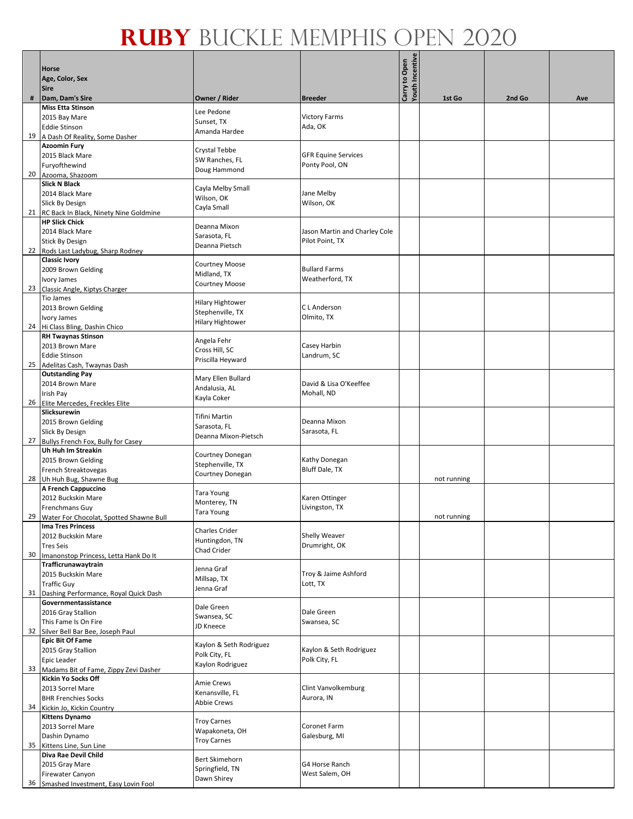|    | <b>Horse</b><br>Age, Color, Sex<br><b>Sire</b>                  |                                |                               | Carry to Open<br>Youth Incentive |             |        |     |
|----|-----------------------------------------------------------------|--------------------------------|-------------------------------|----------------------------------|-------------|--------|-----|
| #  | Dam, Dam's Sire                                                 | Owner / Rider                  | <b>Breeder</b>                |                                  | 1st Go      | 2nd Go | Ave |
|    | <b>Miss Etta Stinson</b>                                        | Lee Pedone                     |                               |                                  |             |        |     |
|    | 2015 Bay Mare                                                   | Sunset, TX                     | <b>Victory Farms</b>          |                                  |             |        |     |
|    | <b>Eddie Stinson</b>                                            | Amanda Hardee                  | Ada, OK                       |                                  |             |        |     |
|    | 19 A Dash Of Reality, Some Dasher                               |                                |                               |                                  |             |        |     |
|    | <b>Azoomin Fury</b>                                             | Crystal Tebbe                  |                               |                                  |             |        |     |
|    | 2015 Black Mare                                                 | SW Ranches, FL                 | <b>GFR Equine Services</b>    |                                  |             |        |     |
|    | Furyofthewind                                                   | Doug Hammond                   | Ponty Pool, ON                |                                  |             |        |     |
|    | 20 Azooma, Shazoom<br><b>Slick N Black</b>                      |                                |                               |                                  |             |        |     |
|    | 2014 Black Mare                                                 | Cayla Melby Small              | Jane Melby                    |                                  |             |        |     |
|    | Slick By Design                                                 | Wilson, OK                     | Wilson, OK                    |                                  |             |        |     |
|    | 21 RC Back In Black, Ninety Nine Goldmine                       | Cayla Small                    |                               |                                  |             |        |     |
|    | <b>HP Slick Chick</b>                                           |                                |                               |                                  |             |        |     |
|    | 2014 Black Mare                                                 | Deanna Mixon                   | Jason Martin and Charley Cole |                                  |             |        |     |
|    | <b>Stick By Design</b>                                          | Sarasota, FL<br>Deanna Pietsch | Pilot Point, TX               |                                  |             |        |     |
|    | 22 Rods Last Ladybug, Sharp Rodney                              |                                |                               |                                  |             |        |     |
|    | <b>Classic Ivory</b>                                            | Courtney Moose                 |                               |                                  |             |        |     |
|    | 2009 Brown Gelding                                              | Midland, TX                    | <b>Bullard Farms</b>          |                                  |             |        |     |
|    | Ivory James                                                     | Courtney Moose                 | Weatherford, TX               |                                  |             |        |     |
|    | 23 Classic Angle, Kiptys Charger<br><b>Tio James</b>            |                                |                               |                                  |             |        |     |
|    | 2013 Brown Gelding                                              | <b>Hilary Hightower</b>        | C L Anderson                  |                                  |             |        |     |
|    | Ivory James                                                     | Stephenville, TX               | Olmito, TX                    |                                  |             |        |     |
|    | 24 Hi Class Bling, Dashin Chico                                 | <b>Hilary Hightower</b>        |                               |                                  |             |        |     |
|    | <b>RH Twaynas Stinson</b>                                       |                                |                               |                                  |             |        |     |
|    | 2013 Brown Mare                                                 | Angela Fehr                    | Casey Harbin                  |                                  |             |        |     |
|    | <b>Eddie Stinson</b>                                            | Cross Hill, SC                 | Landrum, SC                   |                                  |             |        |     |
|    | 25 Adelitas Cash, Twaynas Dash                                  | Priscilla Heyward              |                               |                                  |             |        |     |
|    | <b>Outstanding Pay</b>                                          | Mary Ellen Bullard             |                               |                                  |             |        |     |
|    | 2014 Brown Mare                                                 | Andalusia, AL                  | David & Lisa O'Keeffee        |                                  |             |        |     |
|    | Irish Pay                                                       | Kayla Coker                    | Mohall, ND                    |                                  |             |        |     |
|    | 26 Elite Mercedes, Freckles Elite                               |                                |                               |                                  |             |        |     |
|    | Slicksurewin<br>2015 Brown Gelding                              | Tifini Martin                  | Deanna Mixon                  |                                  |             |        |     |
|    | Slick By Design                                                 | Sarasota, FL                   | Sarasota, FL                  |                                  |             |        |     |
|    | 27 Bullys French Fox, Bully for Casey                           | Deanna Mixon-Pietsch           |                               |                                  |             |        |     |
|    | Uh Huh Im Streakin                                              |                                |                               |                                  |             |        |     |
|    | 2015 Brown Gelding                                              | Courtney Donegan               | Kathy Donegan                 |                                  |             |        |     |
|    | French Streaktovegas                                            | Stephenville, TX               | <b>Bluff Dale, TX</b>         |                                  |             |        |     |
|    | 28 Uh Huh Bug, Shawne Bug                                       | Courtney Donegan               |                               |                                  | not running |        |     |
|    | A French Cappuccino                                             | Tara Young                     |                               |                                  |             |        |     |
|    | 2012 Buckskin Mare                                              | Monterey, TN                   | Karen Ottinger                |                                  |             |        |     |
|    | <b>Frenchmans Guy</b>                                           | <b>Tara Young</b>              | Livingston, TX                |                                  |             |        |     |
|    | 29 Water For Chocolat, Spotted Shawne Bull<br>Ima Tres Princess |                                |                               |                                  | not running |        |     |
|    | 2012 Buckskin Mare                                              | <b>Charles Crider</b>          | Shelly Weaver                 |                                  |             |        |     |
|    | <b>Tres Seis</b>                                                | Huntingdon, TN                 | Drumright, OK                 |                                  |             |        |     |
| 30 | Imanonstop Princess, Letta Hank Do It                           | Chad Crider                    |                               |                                  |             |        |     |
|    | Trafficrunawaytrain                                             | Jenna Graf                     |                               |                                  |             |        |     |
|    | 2015 Buckskin Mare                                              | Millsap, TX                    | Troy & Jaime Ashford          |                                  |             |        |     |
|    | <b>Traffic Guy</b>                                              | Jenna Graf                     | Lott, TX                      |                                  |             |        |     |
| 31 | Dashing Performance, Royal Quick Dash                           |                                |                               |                                  |             |        |     |
|    | Governmentassistance                                            | Dale Green                     | Dale Green                    |                                  |             |        |     |
|    | 2016 Gray Stallion                                              | Swansea, SC                    | Swansea, SC                   |                                  |             |        |     |
|    | This Fame Is On Fire<br>32 Silver Bell Bar Bee, Joseph Paul     | JD Kneece                      |                               |                                  |             |        |     |
|    | <b>Epic Bit Of Fame</b>                                         |                                |                               |                                  |             |        |     |
|    | 2015 Gray Stallion                                              | Kaylon & Seth Rodriguez        | Kaylon & Seth Rodriguez       |                                  |             |        |     |
|    | Epic Leader                                                     | Polk City, FL                  | Polk City, FL                 |                                  |             |        |     |
|    | 33 Madams Bit of Fame, Zippy Zevi Dasher                        | Kaylon Rodriguez               |                               |                                  |             |        |     |
|    | <b>Kickin Yo Socks Off</b>                                      | Amie Crews                     |                               |                                  |             |        |     |
|    | 2013 Sorrel Mare                                                | Kenansville, FL                | Clint Vanvolkemburg           |                                  |             |        |     |
|    | <b>BHR Frenchies Socks</b>                                      | Abbie Crews                    | Aurora, IN                    |                                  |             |        |     |
|    | 34 Kickin Jo, Kickin Country                                    |                                |                               |                                  |             |        |     |
|    | <b>Kittens Dynamo</b>                                           | <b>Troy Carnes</b>             | Coronet Farm                  |                                  |             |        |     |
|    | 2013 Sorrel Mare<br>Dashin Dynamo                               | Wapakoneta, OH                 | Galesburg, MI                 |                                  |             |        |     |
|    | 35 Kittens Line, Sun Line                                       | <b>Troy Carnes</b>             |                               |                                  |             |        |     |
|    | Diva Rae Devil Child                                            |                                |                               |                                  |             |        |     |
|    | 2015 Gray Mare                                                  | Bert Skimehorn                 | G4 Horse Ranch                |                                  |             |        |     |
|    | Firewater Canyon                                                | Springfield, TN<br>Dawn Shirey | West Salem, OH                |                                  |             |        |     |
|    | 36 Smashed Investment, Easy Lovin Fool                          |                                |                               |                                  |             |        |     |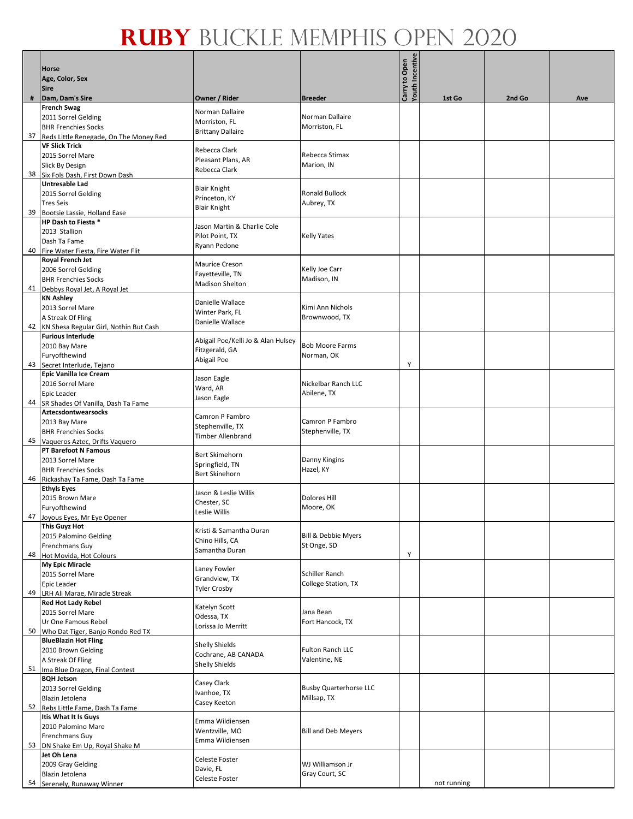|    | <b>Horse</b>                                                        |                                              |                                              | <b>Youth Incentive</b> |             |        |     |
|----|---------------------------------------------------------------------|----------------------------------------------|----------------------------------------------|------------------------|-------------|--------|-----|
|    | Age, Color, Sex<br><b>Sire</b>                                      |                                              |                                              | Carry to Open          |             |        |     |
| #  | Dam, Dam's Sire                                                     | Owner / Rider                                | <b>Breeder</b>                               |                        | 1st Go      | 2nd Go | Ave |
|    | <b>French Swag</b>                                                  | Norman Dallaire                              | Norman Dallaire                              |                        |             |        |     |
|    | 2011 Sorrel Gelding<br><b>BHR Frenchies Socks</b>                   | Morriston, FL                                | Morriston, FL                                |                        |             |        |     |
|    | 37 Reds Little Renegade, On The Money Red                           | <b>Brittany Dallaire</b>                     |                                              |                        |             |        |     |
|    | <b>VF Slick Trick</b>                                               | Rebecca Clark                                |                                              |                        |             |        |     |
|    | 2015 Sorrel Mare                                                    | Pleasant Plans, AR                           | Rebecca Stimax                               |                        |             |        |     |
|    | <b>Slick By Design</b><br>38 Six Fols Dash, First Down Dash         | Rebecca Clark                                | Marion, IN                                   |                        |             |        |     |
|    | <b>Untresable Lad</b>                                               |                                              |                                              |                        |             |        |     |
|    | 2015 Sorrel Gelding                                                 | <b>Blair Knight</b><br>Princeton, KY         | <b>Ronald Bullock</b>                        |                        |             |        |     |
|    | <b>Tres Seis</b>                                                    | <b>Blair Knight</b>                          | Aubrey, TX                                   |                        |             |        |     |
|    | 39 Bootsie Lassie, Holland Ease<br>HP Dash to Fiesta *              |                                              |                                              |                        |             |        |     |
|    | 2013 Stallion                                                       | Jason Martin & Charlie Cole                  |                                              |                        |             |        |     |
|    | Dash Ta Fame                                                        | Pilot Point, TX<br>Ryann Pedone              | <b>Kelly Yates</b>                           |                        |             |        |     |
| 40 | Fire Water Fiesta, Fire Water Flit                                  |                                              |                                              |                        |             |        |     |
|    | Royal French Jet<br>2006 Sorrel Gelding                             | Maurice Creson                               | Kelly Joe Carr                               |                        |             |        |     |
|    | <b>BHR Frenchies Socks</b>                                          | Fayetteville, TN                             | Madison, IN                                  |                        |             |        |     |
| 41 | Debbys Royal Jet, A Royal Jet                                       | <b>Madison Shelton</b>                       |                                              |                        |             |        |     |
|    | <b>KN Ashley</b><br>2013 Sorrel Mare                                | Danielle Wallace                             | Kimi Ann Nichols                             |                        |             |        |     |
|    | A Streak Of Fling                                                   | Winter Park, FL                              | Brownwood, TX                                |                        |             |        |     |
|    | 42 KN Shesa Regular Girl, Nothin But Cash                           | Danielle Wallace                             |                                              |                        |             |        |     |
|    | <b>Furious Interlude</b>                                            | Abigail Poe/Kelli Jo & Alan Hulsey           |                                              |                        |             |        |     |
|    | 2010 Bay Mare<br>Furyofthewind                                      | Fitzgerald, GA                               | <b>Bob Moore Farms</b>                       |                        |             |        |     |
|    | 43 Secret Interlude, Tejano                                         | Abigail Poe                                  | Norman, OK                                   | Y                      |             |        |     |
|    | <b>Epic Vanilla Ice Cream</b>                                       | Jason Eagle                                  |                                              |                        |             |        |     |
|    | 2016 Sorrel Mare                                                    | Ward, AR                                     | Nickelbar Ranch LLC                          |                        |             |        |     |
|    | Epic Leader                                                         | Jason Eagle                                  | Abilene, TX                                  |                        |             |        |     |
|    | 44 SR Shades Of Vanilla, Dash Ta Fame<br><b>Aztecsdontwearsocks</b> |                                              |                                              |                        |             |        |     |
|    | 2013 Bay Mare                                                       | Camron P Fambro<br>Stephenville, TX          | Camron P Fambro                              |                        |             |        |     |
|    | <b>BHR Frenchies Socks</b>                                          | Timber Allenbrand                            | Stephenville, TX                             |                        |             |        |     |
|    | 45 Vagueros Aztec, Drifts Vaguero<br><b>PT Barefoot N Famous</b>    |                                              |                                              |                        |             |        |     |
|    | 2013 Sorrel Mare                                                    | <b>Bert Skimehorn</b>                        | Danny Kingins                                |                        |             |        |     |
|    | <b>BHR Frenchies Socks</b>                                          | Springfield, TN<br><b>Bert Skinehorn</b>     | Hazel, KY                                    |                        |             |        |     |
|    | 46 Rickashay Ta Fame, Dash Ta Fame                                  |                                              |                                              |                        |             |        |     |
|    | <b>Ethyls Eyes</b><br>2015 Brown Mare                               | Jason & Leslie Willis                        | Dolores Hill                                 |                        |             |        |     |
|    | Furyofthewind                                                       | Chester, SC                                  | Moore, OK                                    |                        |             |        |     |
|    | 47 Joyous Eyes, Mr Eye Opener                                       | Leslie Willis                                |                                              |                        |             |        |     |
|    | <b>This Guyz Hot</b><br>2015 Palomino Gelding                       | Kristi & Samantha Duran                      |                                              |                        |             |        |     |
|    | Frenchmans Guy                                                      | Chino Hills, CA                              | Bill & Debbie Myers<br>St Onge, SD           |                        |             |        |     |
| 48 | Hot Movida, Hot Colours                                             | Samantha Duran                               |                                              | Υ                      |             |        |     |
|    | <b>My Epic Miracle</b>                                              | Laney Fowler                                 |                                              |                        |             |        |     |
|    | 2015 Sorrel Mare<br><b>Epic Leader</b>                              | Grandview, TX                                | <b>Schiller Ranch</b><br>College Station, TX |                        |             |        |     |
| 49 | LRH Ali Marae, Miracle Streak                                       | <b>Tyler Crosby</b>                          |                                              |                        |             |        |     |
|    | <b>Red Hot Lady Rebel</b>                                           | Katelyn Scott                                |                                              |                        |             |        |     |
|    | 2015 Sorrel Mare                                                    | Odessa, TX                                   | Jana Bean                                    |                        |             |        |     |
|    | Ur One Famous Rebel<br>50 Who Dat Tiger, Banjo Rondo Red TX         | Lorissa Jo Merritt                           | Fort Hancock, TX                             |                        |             |        |     |
|    | <b>BlueBlazin Hot Fling</b>                                         |                                              |                                              |                        |             |        |     |
|    | 2010 Brown Gelding                                                  | <b>Shelly Shields</b><br>Cochrane, AB CANADA | Fulton Ranch LLC                             |                        |             |        |     |
|    | A Streak Of Fling                                                   | <b>Shelly Shields</b>                        | Valentine, NE                                |                        |             |        |     |
|    | 51 Ima Blue Dragon, Final Contest<br><b>BQH Jetson</b>              |                                              |                                              |                        |             |        |     |
|    | 2013 Sorrel Gelding                                                 | Casey Clark<br>Ivanhoe, TX                   | <b>Busby Quarterhorse LLC</b>                |                        |             |        |     |
|    | Blazin Jetolena                                                     | Casey Keeton                                 | Millsap, TX                                  |                        |             |        |     |
|    | 52 Rebs Little Fame, Dash Ta Fame<br>Itis What It Is Guys           |                                              |                                              |                        |             |        |     |
|    | 2010 Palomino Mare                                                  | Emma Wildiensen                              |                                              |                        |             |        |     |
|    | <b>Frenchmans Guy</b>                                               | Wentzville, MO<br>Emma Wildiensen            | <b>Bill and Deb Meyers</b>                   |                        |             |        |     |
|    | 53 DN Shake Em Up, Royal Shake M                                    |                                              |                                              |                        |             |        |     |
|    | Jet Oh Lena<br>2009 Gray Gelding                                    | Celeste Foster                               | WJ Williamson Jr                             |                        |             |        |     |
|    | Blazin Jetolena                                                     | Davie, FL                                    | Gray Court, SC                               |                        |             |        |     |
|    | 54 Serenely, Runaway Winner                                         | Celeste Foster                               |                                              |                        | not running |        |     |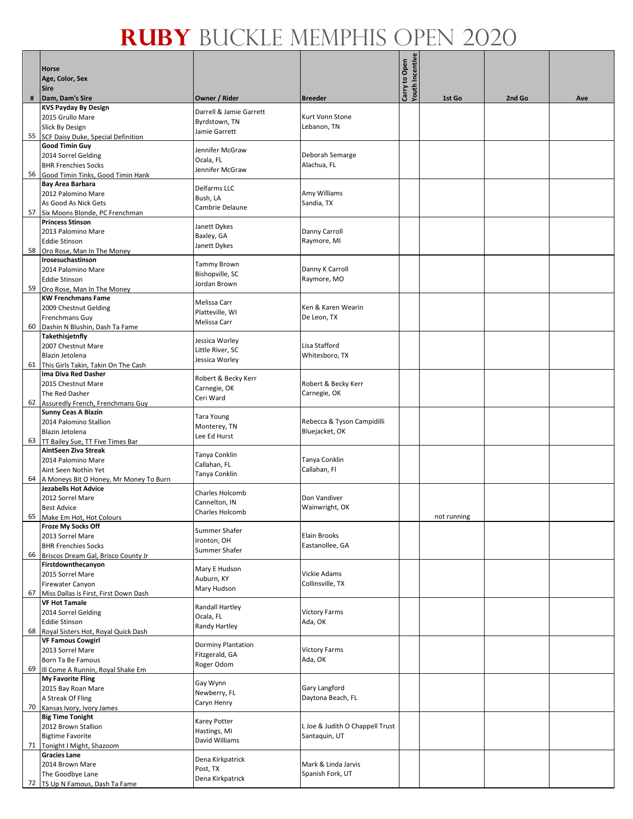|    | <b>Horse</b><br>Age, Color, Sex<br><b>Sire</b>                  |                                |                                         | <b>Youth Incentive</b><br>Carry to Open |             |        |     |
|----|-----------------------------------------------------------------|--------------------------------|-----------------------------------------|-----------------------------------------|-------------|--------|-----|
| #  | Dam, Dam's Sire                                                 | Owner / Rider                  | <b>Breeder</b>                          |                                         | 1st Go      | 2nd Go | Ave |
|    | <b>KVS Payday By Design</b>                                     | Darrell & Jamie Garrett        |                                         |                                         |             |        |     |
|    | 2015 Grullo Mare                                                | Byrdstown, TN                  | Kurt Vonn Stone                         |                                         |             |        |     |
|    | <b>Slick By Design</b>                                          | Jamie Garrett                  | Lebanon, TN                             |                                         |             |        |     |
|    | 55 SCF Daisy Duke, Special Definition                           |                                |                                         |                                         |             |        |     |
|    | <b>Good Timin Guy</b>                                           | Jennifer McGraw                |                                         |                                         |             |        |     |
|    | 2014 Sorrel Gelding                                             | Ocala, FL                      | Deborah Semarge                         |                                         |             |        |     |
|    | <b>BHR Frenchies Socks</b>                                      | Jennifer McGraw                | Alachua, FL                             |                                         |             |        |     |
|    | 56 Good Timin Tinks, Good Timin Hank                            |                                |                                         |                                         |             |        |     |
|    | <b>Bay Area Barbara</b>                                         | Delfarms LLC                   | Amy Williams                            |                                         |             |        |     |
|    | 2012 Palomino Mare<br>As Good As Nick Gets                      | Bush, LA                       | Sandia, TX                              |                                         |             |        |     |
|    | 57 Six Moons Blonde, PC Frenchman                               | Cambrie Delaune                |                                         |                                         |             |        |     |
|    | <b>Princess Stinson</b>                                         |                                |                                         |                                         |             |        |     |
|    | 2013 Palomino Mare                                              | Janett Dykes                   | Danny Carroll                           |                                         |             |        |     |
|    | <b>Eddie Stinson</b>                                            | Baxley, GA                     | Raymore, MI                             |                                         |             |        |     |
|    | 58 Oro Rose, Man In The Money                                   | Janett Dykes                   |                                         |                                         |             |        |     |
|    | Irosesuchastinson                                               |                                |                                         |                                         |             |        |     |
|    | 2014 Palomino Mare                                              | Tammy Brown<br>Bishopville, SC | Danny K Carroll                         |                                         |             |        |     |
|    | <b>Eddie Stinson</b>                                            | Jordan Brown                   | Raymore, MO                             |                                         |             |        |     |
| 59 | Oro Rose, Man In The Money                                      |                                |                                         |                                         |             |        |     |
|    | <b>KW Frenchmans Fame</b>                                       | Melissa Carr                   |                                         |                                         |             |        |     |
|    | 2009 Chestnut Gelding                                           | Platteville, WI                | Ken & Karen Wearin                      |                                         |             |        |     |
|    | <b>Frenchmans Guy</b>                                           | Melissa Carr                   | De Leon, TX                             |                                         |             |        |     |
| 60 | Dashin N Blushin, Dash Ta Fame                                  |                                |                                         |                                         |             |        |     |
|    | Takethisjetnfly                                                 | Jessica Worley                 | Lisa Stafford                           |                                         |             |        |     |
|    | 2007 Chestnut Mare                                              | Little River, SC               |                                         |                                         |             |        |     |
| 61 | Blazin Jetolena                                                 | Jessica Worley                 | Whitesboro, TX                          |                                         |             |        |     |
|    | This Girls Takin, Takin On The Cash<br>Ima Diva Red Dasher      |                                |                                         |                                         |             |        |     |
|    | 2015 Chestnut Mare                                              | Robert & Becky Kerr            | Robert & Becky Kerr                     |                                         |             |        |     |
|    | The Red Dasher                                                  | Carnegie, OK                   | Carnegie, OK                            |                                         |             |        |     |
| 62 | Assuredly French, Frenchmans Guy                                | Ceri Ward                      |                                         |                                         |             |        |     |
|    | <b>Sunny Ceas A Blazin</b>                                      |                                |                                         |                                         |             |        |     |
|    | 2014 Palomino Stallion                                          | Tara Young                     | Rebecca & Tyson Campidilli              |                                         |             |        |     |
|    | Blazin Jetolena                                                 | Monterey, TN<br>Lee Ed Hurst   | Bluejacket, OK                          |                                         |             |        |     |
|    | 63 TT Bailey Sue, TT Five Times Bar                             |                                |                                         |                                         |             |        |     |
|    | AintSeen Ziva Streak                                            | Tanya Conklin                  |                                         |                                         |             |        |     |
|    | 2014 Palomino Mare                                              | Callahan, FL                   | Tanya Conklin                           |                                         |             |        |     |
|    | Aint Seen Nothin Yet                                            | Tanya Conklin                  | Callahan, Fl                            |                                         |             |        |     |
|    | 64 A Moneys Bit O Honey, Mr Money To Burn                       |                                |                                         |                                         |             |        |     |
|    | <b>Jezabells Hot Advice</b><br>2012 Sorrel Mare                 | Charles Holcomb                | Don Vandiver                            |                                         |             |        |     |
|    | <b>Best Advice</b>                                              | Cannelton, IN                  | Wainwright, OK                          |                                         |             |        |     |
|    | 65 Make Em Hot, Hot Colours                                     | Charles Holcomb                |                                         |                                         | not running |        |     |
|    | <b>Froze My Socks Off</b>                                       |                                |                                         |                                         |             |        |     |
|    | 2013 Sorrel Mare                                                | Summer Shafer                  | Elain Brooks                            |                                         |             |        |     |
|    | <b>BHR Frenchies Socks</b>                                      | Ironton, OH                    | Eastanollee, GA                         |                                         |             |        |     |
| 66 | Briscos Dream Gal, Brisco County Jr                             | Summer Shafer                  |                                         |                                         |             |        |     |
|    | Firstdownthecanyon                                              | Mary E Hudson                  |                                         |                                         |             |        |     |
|    | 2015 Sorrel Mare                                                | Auburn, KY                     | Vickie Adams                            |                                         |             |        |     |
|    | Firewater Canyon                                                | Mary Hudson                    | Collinsville, TX                        |                                         |             |        |     |
| 67 | Miss Dallas is First, First Down Dash                           |                                |                                         |                                         |             |        |     |
|    | <b>VF Hot Tamale</b>                                            | Randall Hartley                |                                         |                                         |             |        |     |
|    | 2014 Sorrel Gelding                                             | Ocala, FL                      | <b>Victory Farms</b>                    |                                         |             |        |     |
| 68 | <b>Eddie Stinson</b>                                            | Randy Hartley                  | Ada, OK                                 |                                         |             |        |     |
|    | Royal Sisters Hot, Royal Quick Dash<br><b>VF Famous Cowgirl</b> |                                |                                         |                                         |             |        |     |
|    | 2013 Sorrel Mare                                                | <b>Dorminy Plantation</b>      | <b>Victory Farms</b>                    |                                         |             |        |     |
|    | Born Ta Be Famous                                               | Fitzgerald, GA                 | Ada, OK                                 |                                         |             |        |     |
|    | 69 III Come A Runnin, Royal Shake Em                            | Roger Odom                     |                                         |                                         |             |        |     |
|    | <b>My Favorite Fling</b>                                        |                                |                                         |                                         |             |        |     |
|    | 2015 Bay Roan Mare                                              | Gay Wynn                       | Gary Langford                           |                                         |             |        |     |
|    | A Streak Of Fling                                               | Newberry, FL                   | Daytona Beach, FL                       |                                         |             |        |     |
|    | 70 Kansas Ivory, Ivory James                                    | Caryn Henry                    |                                         |                                         |             |        |     |
|    | <b>Big Time Tonight</b>                                         | Karey Potter                   |                                         |                                         |             |        |     |
|    | 2012 Brown Stallion                                             | Hastings, MI                   | L Joe & Judith O Chappell Trust         |                                         |             |        |     |
|    | <b>Bigtime Favorite</b>                                         | David Williams                 | Santaquin, UT                           |                                         |             |        |     |
|    | 71 Tonight   Might, Shazoom                                     |                                |                                         |                                         |             |        |     |
|    | <b>Gracies Lane</b>                                             | Dena Kirkpatrick               |                                         |                                         |             |        |     |
|    | 2014 Brown Mare<br>The Goodbye Lane                             | Post, TX                       | Mark & Linda Jarvis<br>Spanish Fork, UT |                                         |             |        |     |
|    | 72   TS Up N Famous, Dash Ta Fame                               | Dena Kirkpatrick               |                                         |                                         |             |        |     |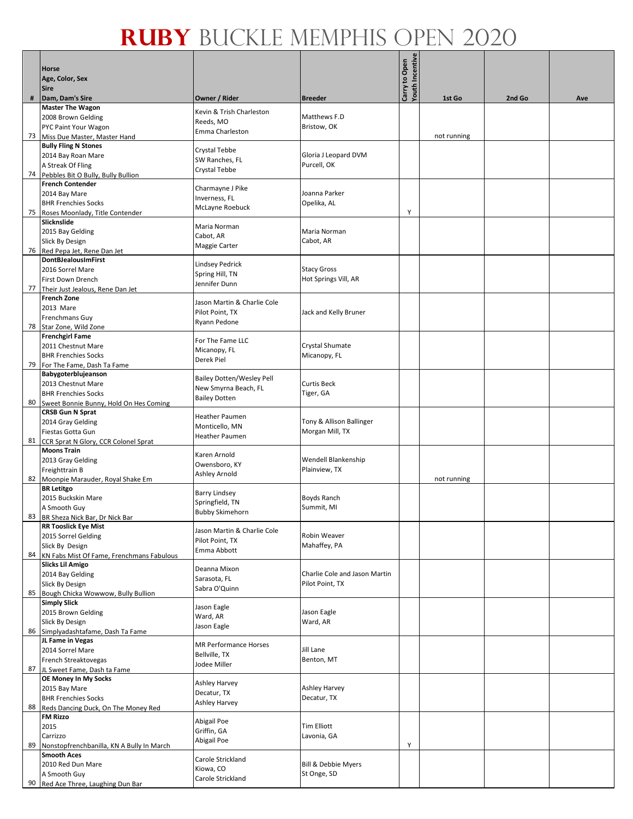|    | <b>Horse</b><br>Age, Color, Sex<br><b>Sire</b>                   |                                  |                                                  | Youth Incentive<br>Carry to Open |             |        |     |
|----|------------------------------------------------------------------|----------------------------------|--------------------------------------------------|----------------------------------|-------------|--------|-----|
| #  | Dam, Dam's Sire                                                  | Owner / Rider                    | <b>Breeder</b>                                   |                                  | 1st Go      | 2nd Go | Ave |
|    | <b>Master The Wagon</b><br>2008 Brown Gelding                    | Kevin & Trish Charleston         | Matthews F.D                                     |                                  |             |        |     |
|    | PYC Paint Your Wagon                                             | Reeds, MO                        | Bristow, OK                                      |                                  |             |        |     |
| 73 | Miss Due Master, Master Hand                                     | Emma Charleston                  |                                                  |                                  | not running |        |     |
|    | <b>Bully Fling N Stones</b>                                      |                                  |                                                  |                                  |             |        |     |
|    | 2014 Bay Roan Mare                                               | Crystal Tebbe                    | Gloria J Leopard DVM                             |                                  |             |        |     |
|    | A Streak Of Fling                                                | SW Ranches, FL                   | Purcell, OK                                      |                                  |             |        |     |
|    | 74 Pebbles Bit O Bully, Bully Bullion                            | Crystal Tebbe                    |                                                  |                                  |             |        |     |
|    | <b>French Contender</b>                                          | Charmayne J Pike                 |                                                  |                                  |             |        |     |
|    | 2014 Bay Mare                                                    | Inverness, FL                    | Joanna Parker                                    |                                  |             |        |     |
|    | <b>BHR Frenchies Socks</b>                                       | McLayne Roebuck                  | Opelika, AL                                      | Υ                                |             |        |     |
|    | 75 Roses Moonlady, Title Contender<br>Slicknslide                |                                  |                                                  |                                  |             |        |     |
|    | 2015 Bay Gelding                                                 | Maria Norman                     | Maria Norman                                     |                                  |             |        |     |
|    | Slick By Design                                                  | Cabot, AR                        | Cabot, AR                                        |                                  |             |        |     |
|    | 76 Red Pepa Jet, Rene Dan Jet                                    | Maggie Carter                    |                                                  |                                  |             |        |     |
|    | <b>DontBJealousImFirst</b>                                       | Lindsey Pedrick                  |                                                  |                                  |             |        |     |
|    | 2016 Sorrel Mare                                                 | Spring Hill, TN                  | <b>Stacy Gross</b>                               |                                  |             |        |     |
|    | First Down Drench                                                | Jennifer Dunn                    | Hot Springs Vill, AR                             |                                  |             |        |     |
| 77 | Their Just Jealous, Rene Dan Jet<br><b>French Zone</b>           |                                  |                                                  |                                  |             |        |     |
|    | 2013 Mare                                                        | Jason Martin & Charlie Cole      |                                                  |                                  |             |        |     |
|    | <b>Frenchmans Guy</b>                                            | Pilot Point, TX                  | Jack and Kelly Bruner                            |                                  |             |        |     |
| 78 | Star Zone, Wild Zone                                             | Ryann Pedone                     |                                                  |                                  |             |        |     |
|    | <b>Frenchgirl Fame</b>                                           | For The Fame LLC                 |                                                  |                                  |             |        |     |
|    | 2011 Chestnut Mare                                               | Micanopy, FL                     | Crystal Shumate                                  |                                  |             |        |     |
|    | <b>BHR Frenchies Socks</b>                                       | Derek Piel                       | Micanopy, FL                                     |                                  |             |        |     |
|    | 79 For The Fame, Dash Ta Fame<br>Babygoterblujeanson             |                                  |                                                  |                                  |             |        |     |
|    | 2013 Chestnut Mare                                               | <b>Bailey Dotten/Wesley Pell</b> | <b>Curtis Beck</b>                               |                                  |             |        |     |
|    | <b>BHR Frenchies Socks</b>                                       | New Smyrna Beach, FL             | Tiger, GA                                        |                                  |             |        |     |
| 80 | Sweet Bonnie Bunny, Hold On Hes Coming                           | <b>Bailey Dotten</b>             |                                                  |                                  |             |        |     |
|    | <b>CRSB Gun N Sprat</b>                                          | <b>Heather Paumen</b>            |                                                  |                                  |             |        |     |
|    | 2014 Gray Gelding                                                | Monticello, MN                   | Tony & Allison Ballinger                         |                                  |             |        |     |
|    | Fiestas Gotta Gun                                                | Heather Paumen                   | Morgan Mill, TX                                  |                                  |             |        |     |
|    | 81 CCR Sprat N Glory, CCR Colonel Sprat<br><b>Moons Train</b>    |                                  |                                                  |                                  |             |        |     |
|    | 2013 Gray Gelding                                                | Karen Arnold                     | Wendell Blankenship                              |                                  |             |        |     |
|    | Freighttrain B                                                   | Owensboro, KY                    | Plainview, TX                                    |                                  |             |        |     |
|    | 82 Moonpie Marauder, Royal Shake Em                              | Ashley Arnold                    |                                                  |                                  | not running |        |     |
|    | <b>BR</b> Letitgo                                                | <b>Barry Lindsey</b>             |                                                  |                                  |             |        |     |
|    | 2015 Buckskin Mare                                               | Springfield, TN                  | Boyds Ranch                                      |                                  |             |        |     |
|    | A Smooth Guy                                                     | <b>Bubby Skimehorn</b>           | Summit, MI                                       |                                  |             |        |     |
|    | 83 BR Sheza Nick Bar, Dr Nick Bar<br><b>RR Tooslick Eye Mist</b> |                                  |                                                  |                                  |             |        |     |
|    | 2015 Sorrel Gelding                                              | Jason Martin & Charlie Cole      | Robin Weaver                                     |                                  |             |        |     |
|    | Slick By Design                                                  | Pilot Point, TX<br>Emma Abbott   | Mahaffey, PA                                     |                                  |             |        |     |
|    | 84 KN Fabs Mist Of Fame, Frenchmans Fabulous                     |                                  |                                                  |                                  |             |        |     |
|    | <b>Slicks Lil Amigo</b>                                          | Deanna Mixon                     |                                                  |                                  |             |        |     |
|    | 2014 Bay Gelding                                                 | Sarasota, FL                     | Charlie Cole and Jason Martin<br>Pilot Point, TX |                                  |             |        |     |
| 85 | Slick By Design<br>Bough Chicka Wowwow, Bully Bullion            | Sabra O'Quinn                    |                                                  |                                  |             |        |     |
|    | <b>Simply Slick</b>                                              |                                  |                                                  |                                  |             |        |     |
|    | 2015 Brown Gelding                                               | Jason Eagle                      | Jason Eagle                                      |                                  |             |        |     |
|    | <b>Slick By Design</b>                                           | Ward, AR<br>Jason Eagle          | Ward, AR                                         |                                  |             |        |     |
|    | 86 Simplyadashtafame, Dash Ta Fame                               |                                  |                                                  |                                  |             |        |     |
|    | JL Fame in Vegas                                                 | <b>MR Performance Horses</b>     |                                                  |                                  |             |        |     |
|    | 2014 Sorrel Mare                                                 | Bellville, TX                    | Jill Lane                                        |                                  |             |        |     |
|    | French Streaktovegas<br>87 JL Sweet Fame, Dash ta Fame           | Jodee Miller                     | Benton, MT                                       |                                  |             |        |     |
|    | OE Money In My Socks                                             |                                  |                                                  |                                  |             |        |     |
|    | 2015 Bay Mare                                                    | Ashley Harvey<br>Decatur, TX     | <b>Ashley Harvey</b>                             |                                  |             |        |     |
|    | <b>BHR Frenchies Socks</b>                                       | Ashley Harvey                    | Decatur, TX                                      |                                  |             |        |     |
|    | 88 Reds Dancing Duck, On The Money Red                           |                                  |                                                  |                                  |             |        |     |
|    | <b>FM Rizzo</b>                                                  | Abigail Poe                      |                                                  |                                  |             |        |     |
|    | 2015<br>Carrizzo                                                 | Griffin, GA                      | <b>Tim Elliott</b><br>Lavonia, GA                |                                  |             |        |     |
| 89 | Nonstopfrenchbanilla, KN A Bully In March                        | Abigail Poe                      |                                                  | Y                                |             |        |     |
|    | <b>Smooth Aces</b>                                               | Carole Strickland                |                                                  |                                  |             |        |     |
|    | 2010 Red Dun Mare                                                | Kiowa, CO                        | <b>Bill &amp; Debbie Myers</b>                   |                                  |             |        |     |
|    | A Smooth Guy                                                     | Carole Strickland                | St Onge, SD                                      |                                  |             |        |     |
|    | 90 Red Ace Three, Laughing Dun Bar                               |                                  |                                                  |                                  |             |        |     |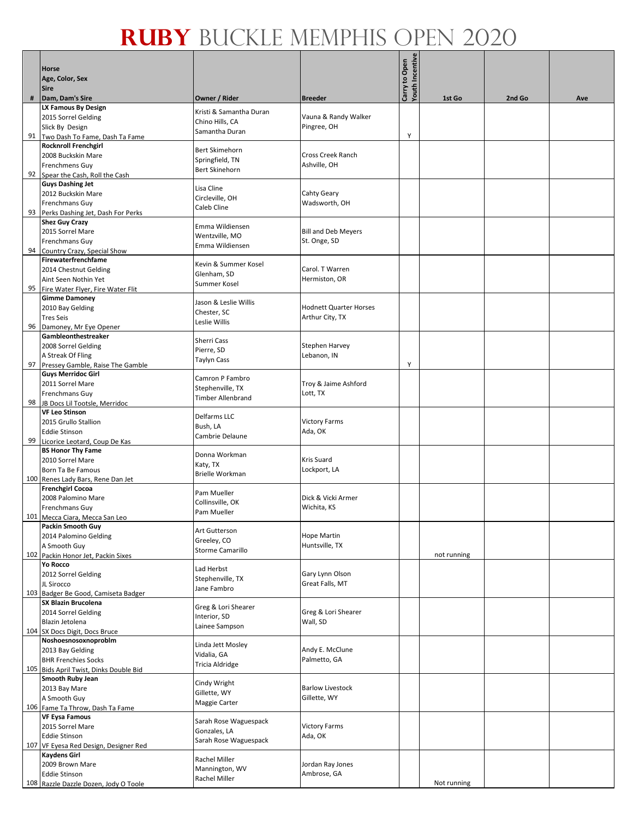|    | <b>Horse</b>                                                 |                                       |                                         | <b>Youth Incentive</b><br>Carry to Open |             |        |     |
|----|--------------------------------------------------------------|---------------------------------------|-----------------------------------------|-----------------------------------------|-------------|--------|-----|
|    | Age, Color, Sex                                              |                                       |                                         |                                         |             |        |     |
|    | <b>Sire</b>                                                  |                                       |                                         |                                         |             |        |     |
| #  | Dam, Dam's Sire<br><b>LX Famous By Design</b>                | Owner / Rider                         | <b>Breeder</b>                          |                                         | 1st Go      | 2nd Go | Ave |
|    | 2015 Sorrel Gelding                                          | Kristi & Samantha Duran               | Vauna & Randy Walker                    |                                         |             |        |     |
|    | Slick By Design                                              | Chino Hills, CA<br>Samantha Duran     | Pingree, OH                             |                                         |             |        |     |
| 91 | Two Dash To Fame, Dash Ta Fame                               |                                       |                                         | Υ                                       |             |        |     |
|    | <b>Rocknroll Frenchgirl</b><br>2008 Buckskin Mare            | <b>Bert Skimehorn</b>                 | Cross Creek Ranch                       |                                         |             |        |     |
|    | <b>Frenchmens Guy</b>                                        | Springfield, TN                       | Ashville, OH                            |                                         |             |        |     |
|    | 92 Spear the Cash, Roll the Cash                             | <b>Bert Skinehorn</b>                 |                                         |                                         |             |        |     |
|    | <b>Guys Dashing Jet</b>                                      | Lisa Cline                            |                                         |                                         |             |        |     |
|    | 2012 Buckskin Mare                                           | Circleville, OH                       | Cahty Geary                             |                                         |             |        |     |
|    | Frenchmans Guy<br>93 Perks Dashing Jet, Dash For Perks       | Caleb Cline                           | Wadsworth, OH                           |                                         |             |        |     |
|    | <b>Shez Guy Crazy</b>                                        |                                       |                                         |                                         |             |        |     |
|    | 2015 Sorrel Mare                                             | Emma Wildiensen                       | <b>Bill and Deb Meyers</b>              |                                         |             |        |     |
|    | Frenchmans Guy                                               | Wentzville, MO<br>Emma Wildiensen     | St. Onge, SD                            |                                         |             |        |     |
| 94 | Country Crazy, Special Show                                  |                                       |                                         |                                         |             |        |     |
|    | Firewaterfrenchfame<br>2014 Chestnut Gelding                 | Kevin & Summer Kosel                  | Carol. T Warren                         |                                         |             |        |     |
|    | Aint Seen Nothin Yet                                         | Glenham, SD                           | Hermiston, OR                           |                                         |             |        |     |
| 95 | Fire Water Flyer, Fire Water Flit                            | Summer Kosel                          |                                         |                                         |             |        |     |
|    | <b>Gimme Damoney</b>                                         | Jason & Leslie Willis                 |                                         |                                         |             |        |     |
|    | 2010 Bay Gelding                                             | Chester, SC                           | <b>Hodnett Quarter Horses</b>           |                                         |             |        |     |
|    | <b>Tres Seis</b><br>96 Damoney, Mr Eye Opener                | Leslie Willis                         | Arthur City, TX                         |                                         |             |        |     |
|    | Gambleonthestreaker                                          |                                       |                                         |                                         |             |        |     |
|    | 2008 Sorrel Gelding                                          | <b>Sherri Cass</b><br>Pierre, SD      | <b>Stephen Harvey</b>                   |                                         |             |        |     |
|    | A Streak Of Fling                                            | Taylyn Cass                           | Lebanon, IN                             |                                         |             |        |     |
|    | 97 Pressey Gamble, Raise The Gamble                          |                                       |                                         | Y                                       |             |        |     |
|    | <b>Guys Merridoc Girl</b><br>2011 Sorrel Mare                | Camron P Fambro                       | Troy & Jaime Ashford                    |                                         |             |        |     |
|    | <b>Frenchmans Guy</b>                                        | Stephenville, TX                      | Lott, TX                                |                                         |             |        |     |
|    | 98 JB Docs Lil Tootsle, Merridoc                             | Timber Allenbrand                     |                                         |                                         |             |        |     |
|    | <b>VF Leo Stinson</b>                                        | Delfarms LLC                          |                                         |                                         |             |        |     |
|    | 2015 Grullo Stallion                                         | Bush, LA                              | <b>Victory Farms</b>                    |                                         |             |        |     |
| 99 | <b>Eddie Stinson</b><br>Licorice Leotard, Coup De Kas        | Cambrie Delaune                       | Ada, OK                                 |                                         |             |        |     |
|    | <b>BS Honor Thy Fame</b>                                     | Donna Workman                         |                                         |                                         |             |        |     |
|    | 2010 Sorrel Mare                                             | Katy, TX                              | <b>Kris Suard</b>                       |                                         |             |        |     |
|    | <b>Born Ta Be Famous</b>                                     | <b>Brielle Workman</b>                | Lockport, LA                            |                                         |             |        |     |
|    | 100 Renes Lady Bars, Rene Dan Jet<br><b>Frenchgirl Cocoa</b> |                                       |                                         |                                         |             |        |     |
|    | 2008 Palomino Mare                                           | Pam Mueller                           | Dick & Vicki Armer                      |                                         |             |        |     |
|    | <b>Frenchmans Guy</b>                                        | Collinsville, OK<br>Pam Mueller       | Wichita, KS                             |                                         |             |        |     |
|    | 101 Mecca Ciara, Mecca San Leo                               |                                       |                                         |                                         |             |        |     |
|    | Packin Smooth Guy                                            | Art Gutterson                         | <b>Hope Martin</b>                      |                                         |             |        |     |
|    | 2014 Palomino Gelding<br>A Smooth Guy                        | Greeley, CO                           | Huntsville, TX                          |                                         |             |        |     |
|    | 102 Packin Honor Jet, Packin Sixes                           | Storme Camarillo                      |                                         |                                         | not running |        |     |
|    | <b>Yo Rocco</b>                                              | Lad Herbst                            |                                         |                                         |             |        |     |
|    | 2012 Sorrel Gelding                                          | Stephenville, TX                      | Gary Lynn Olson                         |                                         |             |        |     |
|    | JL Sirocco<br>103 Badger Be Good, Camiseta Badger            | Jane Fambro                           | Great Falls, MT                         |                                         |             |        |     |
|    | <b>SX Blazin Brucolena</b>                                   |                                       |                                         |                                         |             |        |     |
|    | 2014 Sorrel Gelding                                          | Greg & Lori Shearer<br>Interior, SD   | Greg & Lori Shearer                     |                                         |             |        |     |
|    | Blazin Jetolena                                              | Lainee Sampson                        | Wall, SD                                |                                         |             |        |     |
|    | 104 SX Docs Digit, Docs Bruce                                |                                       |                                         |                                         |             |        |     |
|    | Noshoesnosoxnoproblm<br>2013 Bay Gelding                     | Linda Jett Mosley                     | Andy E. McClune                         |                                         |             |        |     |
|    | <b>BHR Frenchies Socks</b>                                   | Vidalia, GA                           | Palmetto, GA                            |                                         |             |        |     |
|    | 105 Bids April Twist, Dinks Double Bid                       | Tricia Aldridge                       |                                         |                                         |             |        |     |
|    | Smooth Ruby Jean                                             | Cindy Wright                          |                                         |                                         |             |        |     |
|    | 2013 Bay Mare<br>A Smooth Guy                                | Gillette, WY                          | <b>Barlow Livestock</b><br>Gillette, WY |                                         |             |        |     |
|    | 106 Fame Ta Throw, Dash Ta Fame                              | Maggie Carter                         |                                         |                                         |             |        |     |
|    | <b>VF Eysa Famous</b>                                        |                                       |                                         |                                         |             |        |     |
|    | 2015 Sorrel Mare                                             | Sarah Rose Waguespack<br>Gonzales, LA | <b>Victory Farms</b>                    |                                         |             |        |     |
|    | <b>Eddie Stinson</b>                                         | Sarah Rose Waguespack                 | Ada, OK                                 |                                         |             |        |     |
|    | 107 VF Eyesa Red Design, Designer Red<br><b>Kaydens Girl</b> |                                       |                                         |                                         |             |        |     |
|    | 2009 Brown Mare                                              | Rachel Miller                         | Jordan Ray Jones                        |                                         |             |        |     |
|    | <b>Eddie Stinson</b>                                         | Mannington, WV<br>Rachel Miller       | Ambrose, GA                             |                                         |             |        |     |
|    | 108 Razzle Dazzle Dozen, Jody O Toole                        |                                       |                                         |                                         | Not running |        |     |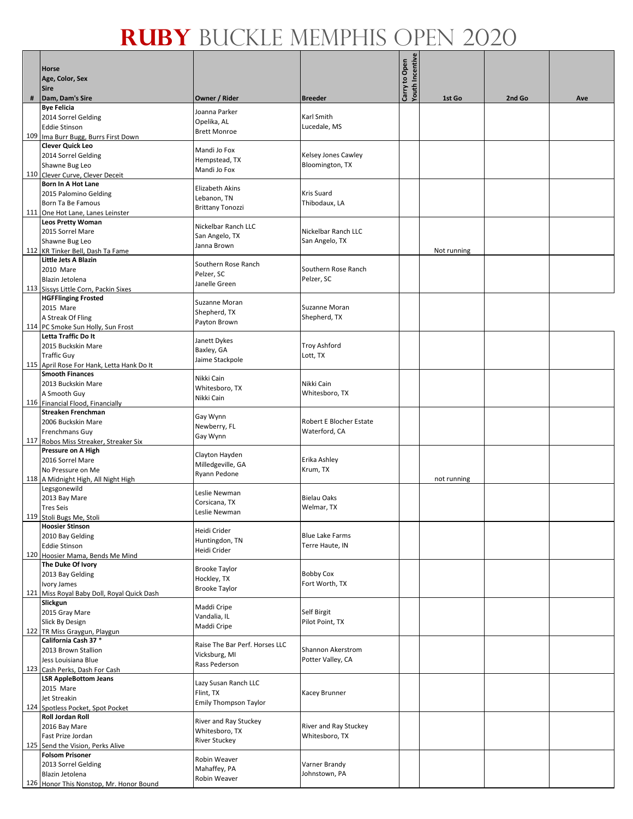|     | Horse<br>Age, Color, Sex<br><b>Sire</b>                      |                                |                                    | Youth Incentive<br>Carry to Open |             |        |     |
|-----|--------------------------------------------------------------|--------------------------------|------------------------------------|----------------------------------|-------------|--------|-----|
| #   | Dam, Dam's Sire                                              | Owner / Rider                  | <b>Breeder</b>                     |                                  | 1st Go      | 2nd Go | Ave |
|     | <b>Bye Felicia</b>                                           | Joanna Parker                  | Karl Smith                         |                                  |             |        |     |
|     | 2014 Sorrel Gelding                                          | Opelika, AL                    |                                    |                                  |             |        |     |
|     | <b>Eddie Stinson</b>                                         | <b>Brett Monroe</b>            | Lucedale, MS                       |                                  |             |        |     |
| 109 | Ima Burr Bugg, Burrs First Down                              |                                |                                    |                                  |             |        |     |
|     | <b>Clever Quick Leo</b>                                      | Mandi Jo Fox                   |                                    |                                  |             |        |     |
|     | 2014 Sorrel Gelding                                          | Hempstead, TX                  | Kelsey Jones Cawley                |                                  |             |        |     |
|     | Shawne Bug Leo                                               | Mandi Jo Fox                   | Bloomington, TX                    |                                  |             |        |     |
|     | 110 Clever Curve, Clever Deceit<br><b>Born In A Hot Lane</b> |                                |                                    |                                  |             |        |     |
|     | 2015 Palomino Gelding                                        | <b>Elizabeth Akins</b>         | <b>Kris Suard</b>                  |                                  |             |        |     |
|     | Born Ta Be Famous                                            | Lebanon, TN                    | Thibodaux, LA                      |                                  |             |        |     |
|     | 111 One Hot Lane, Lanes Leinster                             | <b>Brittany Tonozzi</b>        |                                    |                                  |             |        |     |
|     | <b>Leos Pretty Woman</b>                                     |                                |                                    |                                  |             |        |     |
|     | 2015 Sorrel Mare                                             | Nickelbar Ranch LLC            | Nickelbar Ranch LLC                |                                  |             |        |     |
|     | Shawne Bug Leo                                               | San Angelo, TX                 | San Angelo, TX                     |                                  |             |        |     |
|     | 112 KR Tinker Bell, Dash Ta Fame                             | Janna Brown                    |                                    |                                  | Not running |        |     |
|     | Little Jets A Blazin                                         |                                |                                    |                                  |             |        |     |
|     | 2010 Mare                                                    | Southern Rose Ranch            | Southern Rose Ranch                |                                  |             |        |     |
|     | Blazin Jetolena                                              | Pelzer, SC<br>Janelle Green    | Pelzer, SC                         |                                  |             |        |     |
|     | 113 Sissys Little Corn, Packin Sixes                         |                                |                                    |                                  |             |        |     |
|     | <b>HGFFlinging Frosted</b>                                   | Suzanne Moran                  |                                    |                                  |             |        |     |
|     | 2015 Mare                                                    | Shepherd, TX                   | Suzanne Moran                      |                                  |             |        |     |
|     | A Streak Of Fling                                            | Payton Brown                   | Shepherd, TX                       |                                  |             |        |     |
|     | 114 PC Smoke Sun Holly, Sun Frost                            |                                |                                    |                                  |             |        |     |
|     | Letta Traffic Do It                                          | Janett Dykes                   |                                    |                                  |             |        |     |
|     | 2015 Buckskin Mare                                           | Baxley, GA                     | <b>Troy Ashford</b>                |                                  |             |        |     |
|     | <b>Traffic Guy</b>                                           | Jaime Stackpole                | Lott, TX                           |                                  |             |        |     |
|     | 115 April Rose For Hank, Letta Hank Do It                    |                                |                                    |                                  |             |        |     |
|     | <b>Smooth Finances</b>                                       | Nikki Cain                     |                                    |                                  |             |        |     |
|     | 2013 Buckskin Mare                                           | Whitesboro, TX                 | Nikki Cain                         |                                  |             |        |     |
|     | A Smooth Guy                                                 | Nikki Cain                     | Whitesboro, TX                     |                                  |             |        |     |
|     | 116 Financial Flood, Financially<br>Streaken Frenchman       |                                |                                    |                                  |             |        |     |
|     | 2006 Buckskin Mare                                           | Gay Wynn                       | Robert E Blocher Estate            |                                  |             |        |     |
|     | Frenchmans Guy                                               | Newberry, FL                   | Waterford, CA                      |                                  |             |        |     |
|     | 117 Robos Miss Streaker, Streaker Six                        | Gay Wynn                       |                                    |                                  |             |        |     |
|     | Pressure on A High                                           |                                |                                    |                                  |             |        |     |
|     | 2016 Sorrel Mare                                             | Clayton Hayden                 | Erika Ashley                       |                                  |             |        |     |
|     | No Pressure on Me                                            | Milledgeville, GA              | Krum, TX                           |                                  |             |        |     |
|     | 118 A Midnight High, All Night High                          | Ryann Pedone                   |                                    |                                  | not running |        |     |
|     | Legsgonewild                                                 |                                |                                    |                                  |             |        |     |
|     | 2013 Bay Mare                                                | Leslie Newman<br>Corsicana, TX | <b>Bielau Oaks</b>                 |                                  |             |        |     |
|     | <b>Tres Seis</b>                                             | Leslie Newman                  | Welmar, TX                         |                                  |             |        |     |
|     | 119 Stoli Bugs Me, Stoli                                     |                                |                                    |                                  |             |        |     |
|     | <b>Hoosier Stinson</b>                                       | Heidi Crider                   |                                    |                                  |             |        |     |
|     | 2010 Bay Gelding                                             | Huntingdon, TN                 | <b>Blue Lake Farms</b>             |                                  |             |        |     |
|     | <b>Eddie Stinson</b>                                         | Heidi Crider                   | Terre Haute, IN                    |                                  |             |        |     |
|     | 120 Hoosier Mama, Bends Me Mind                              |                                |                                    |                                  |             |        |     |
|     | The Duke Of Ivory                                            | <b>Brooke Taylor</b>           |                                    |                                  |             |        |     |
|     | 2013 Bay Gelding                                             | Hockley, TX                    | <b>Bobby Cox</b><br>Fort Worth, TX |                                  |             |        |     |
|     | Ivory James                                                  | <b>Brooke Taylor</b>           |                                    |                                  |             |        |     |
|     | 121 Miss Royal Baby Doll, Royal Quick Dash<br>Slickgun       |                                |                                    |                                  |             |        |     |
|     | 2015 Gray Mare                                               | Maddi Cripe                    | Self Birgit                        |                                  |             |        |     |
|     | Slick By Design                                              | Vandalia, IL                   | Pilot Point, TX                    |                                  |             |        |     |
|     | 122 TR Miss Graygun, Playgun                                 | Maddi Cripe                    |                                    |                                  |             |        |     |
|     | California Cash 37 *                                         |                                |                                    |                                  |             |        |     |
|     | 2013 Brown Stallion                                          | Raise The Bar Perf. Horses LLC | Shannon Akerstrom                  |                                  |             |        |     |
|     | Jess Louisiana Blue                                          | Vicksburg, MI                  | Potter Valley, CA                  |                                  |             |        |     |
|     | 123 Cash Perks, Dash For Cash                                | Rass Pederson                  |                                    |                                  |             |        |     |
|     | <b>LSR AppleBottom Jeans</b>                                 | Lazy Susan Ranch LLC           |                                    |                                  |             |        |     |
|     | 2015 Mare                                                    | Flint, TX                      | <b>Kacey Brunner</b>               |                                  |             |        |     |
|     | Jet Streakin                                                 | <b>Emily Thompson Taylor</b>   |                                    |                                  |             |        |     |
|     | 124 Spotless Pocket, Spot Pocket                             |                                |                                    |                                  |             |        |     |
|     | <b>Roll Jordan Roll</b>                                      | River and Ray Stuckey          |                                    |                                  |             |        |     |
|     | 2016 Bay Mare                                                | Whitesboro, TX                 | River and Ray Stuckey              |                                  |             |        |     |
|     | Fast Prize Jordan                                            | <b>River Stuckey</b>           | Whitesboro, TX                     |                                  |             |        |     |
|     | 125 Send the Vision, Perks Alive                             |                                |                                    |                                  |             |        |     |
|     | <b>Folsom Prisoner</b>                                       | Robin Weaver                   |                                    |                                  |             |        |     |
|     | 2013 Sorrel Gelding                                          | Mahaffey, PA                   | Varner Brandy<br>Johnstown, PA     |                                  |             |        |     |
|     | Blazin Jetolena<br>126 Honor This Nonstop, Mr. Honor Bound   | Robin Weaver                   |                                    |                                  |             |        |     |
|     |                                                              |                                |                                    |                                  |             |        |     |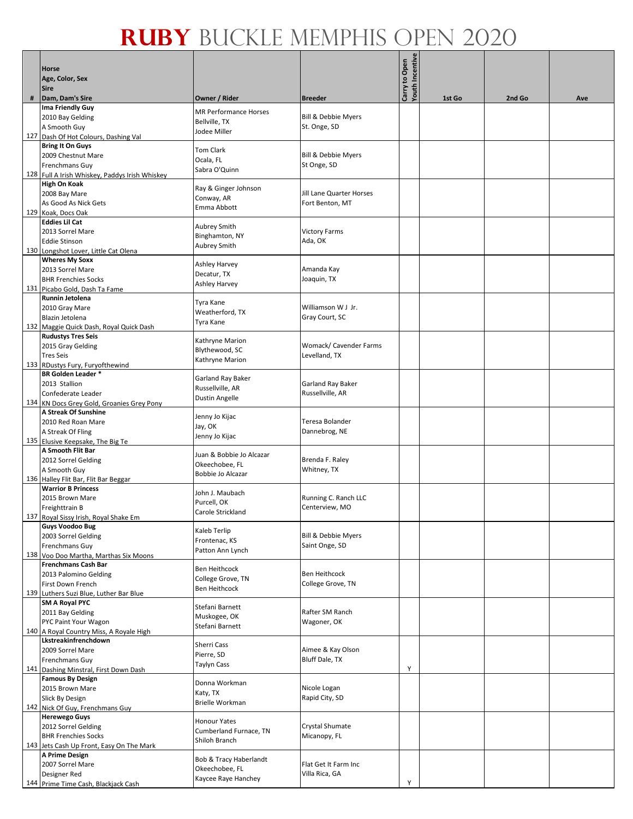|   | Horse<br>Age, Color, Sex<br><b>Sire</b>        |                              | <b>Breeder</b>                 | Youth Incentive<br>Carry to Open | 1st Go | 2nd Go |     |
|---|------------------------------------------------|------------------------------|--------------------------------|----------------------------------|--------|--------|-----|
| # | Dam, Dam's Sire                                | Owner / Rider                |                                |                                  |        |        | Ave |
|   | Ima Friendly Guy                               | <b>MR Performance Horses</b> |                                |                                  |        |        |     |
|   | 2010 Bay Gelding                               | Bellville, TX                | <b>Bill &amp; Debbie Myers</b> |                                  |        |        |     |
|   | A Smooth Guy                                   | Jodee Miller                 | St. Onge, SD                   |                                  |        |        |     |
|   | 127 Dash Of Hot Colours, Dashing Val           |                              |                                |                                  |        |        |     |
|   | <b>Bring It On Guys</b>                        | <b>Tom Clark</b>             |                                |                                  |        |        |     |
|   | 2009 Chestnut Mare                             | Ocala, FL                    | <b>Bill &amp; Debbie Myers</b> |                                  |        |        |     |
|   | Frenchmans Guy                                 |                              | St Onge, SD                    |                                  |        |        |     |
|   | 128 Full A Irish Whiskey, Paddys Irish Whiskey | Sabra O'Quinn                |                                |                                  |        |        |     |
|   | High On Koak                                   |                              |                                |                                  |        |        |     |
|   | 2008 Bay Mare                                  | Ray & Ginger Johnson         | Jill Lane Quarter Horses       |                                  |        |        |     |
|   | As Good As Nick Gets                           | Conway, AR                   | Fort Benton, MT                |                                  |        |        |     |
|   | 129 Koak, Docs Oak                             | Emma Abbott                  |                                |                                  |        |        |     |
|   | <b>Eddies Lil Cat</b>                          |                              |                                |                                  |        |        |     |
|   |                                                | Aubrey Smith                 |                                |                                  |        |        |     |
|   | 2013 Sorrel Mare                               | Binghamton, NY               | <b>Victory Farms</b>           |                                  |        |        |     |
|   | <b>Eddie Stinson</b>                           | Aubrey Smith                 | Ada, OK                        |                                  |        |        |     |
|   | 130 Longshot Lover, Little Cat Olena           |                              |                                |                                  |        |        |     |
|   | <b>Wheres My Soxx</b>                          | Ashley Harvey                |                                |                                  |        |        |     |
|   | 2013 Sorrel Mare                               | Decatur, TX                  | Amanda Kay                     |                                  |        |        |     |
|   | <b>BHR Frenchies Socks</b>                     | Ashley Harvey                | Joaquin, TX                    |                                  |        |        |     |
|   | 131 Picabo Gold, Dash Ta Fame                  |                              |                                |                                  |        |        |     |
|   | Runnin Jetolena                                | Tyra Kane                    |                                |                                  |        |        |     |
|   | 2010 Gray Mare                                 | Weatherford, TX              | Williamson W J Jr.             |                                  |        |        |     |
|   | Blazin Jetolena                                |                              | Gray Court, SC                 |                                  |        |        |     |
|   | 132 Maggie Quick Dash, Royal Quick Dash        | Tyra Kane                    |                                |                                  |        |        |     |
|   | <b>Rudustys Tres Seis</b>                      |                              |                                |                                  |        |        |     |
|   | 2015 Gray Gelding                              | Kathryne Marion              | Womack/ Cavender Farms         |                                  |        |        |     |
|   | <b>Tres Seis</b>                               | Blythewood, SC               | Levelland, TX                  |                                  |        |        |     |
|   | 133 RDustys Fury, Furyofthewind                | Kathryne Marion              |                                |                                  |        |        |     |
|   | <b>BR Golden Leader *</b>                      |                              |                                |                                  |        |        |     |
|   |                                                | Garland Ray Baker            | Garland Ray Baker              |                                  |        |        |     |
|   | 2013 Stallion                                  | Russellville, AR             |                                |                                  |        |        |     |
|   | Confederate Leader                             | Dustin Angelle               | Russellville, AR               |                                  |        |        |     |
|   | 134 KN Docs Grey Gold, Groanies Grey Pony      |                              |                                |                                  |        |        |     |
|   | A Streak Of Sunshine                           | Jenny Jo Kijac               |                                |                                  |        |        |     |
|   | 2010 Red Roan Mare                             | Jay, OK                      | Teresa Bolander                |                                  |        |        |     |
|   | A Streak Of Fling                              |                              | Dannebrog, NE                  |                                  |        |        |     |
|   | 135 Elusive Keepsake, The Big Te               | Jenny Jo Kijac               |                                |                                  |        |        |     |
|   | A Smooth Flit Bar                              |                              |                                |                                  |        |        |     |
|   | 2012 Sorrel Gelding                            | Juan & Bobbie Jo Alcazar     | Brenda F. Raley                |                                  |        |        |     |
|   | A Smooth Guy                                   | Okeechobee, FL               | Whitney, TX                    |                                  |        |        |     |
|   | 136 Halley Flit Bar, Flit Bar Beggar           | Bobbie Jo Alcazar            |                                |                                  |        |        |     |
|   | <b>Warrior B Princess</b>                      |                              |                                |                                  |        |        |     |
|   | 2015 Brown Mare                                | John J. Maubach              | Running C. Ranch LLC           |                                  |        |        |     |
|   |                                                | Purcell, OK                  | Centerview, MO                 |                                  |        |        |     |
|   | Freighttrain B                                 | Carole Strickland            |                                |                                  |        |        |     |
|   | 137 Royal Sissy Irish, Royal Shake Em          |                              |                                |                                  |        |        |     |
|   | <b>Guys Voodoo Bug</b>                         | Kaleb Terlip                 |                                |                                  |        |        |     |
|   | 2003 Sorrel Gelding                            | Frontenac, KS                | <b>Bill &amp; Debbie Myers</b> |                                  |        |        |     |
|   | Frenchmans Guy                                 | Patton Ann Lynch             | Saint Onge, SD                 |                                  |        |        |     |
|   | 138 Voo Doo Martha, Marthas Six Moons          |                              |                                |                                  |        |        |     |
|   | <b>Frenchmans Cash Bar</b>                     | Ben Heithcock                |                                |                                  |        |        |     |
|   | 2013 Palomino Gelding                          | College Grove, TN            | <b>Ben Heithcock</b>           |                                  |        |        |     |
|   | First Down French                              | Ben Heithcock                | College Grove, TN              |                                  |        |        |     |
|   | 139 Luthers Suzi Blue, Luther Bar Blue         |                              |                                |                                  |        |        |     |
|   | <b>SM A Royal PYC</b>                          | Stefani Barnett              |                                |                                  |        |        |     |
|   | 2011 Bay Gelding                               | Muskogee, OK                 | Rafter SM Ranch                |                                  |        |        |     |
|   | PYC Paint Your Wagon                           |                              | Wagoner, OK                    |                                  |        |        |     |
|   | 140 A Royal Country Miss, A Royale High        | Stefani Barnett              |                                |                                  |        |        |     |
|   | Lkstreakinfrenchdown                           |                              |                                |                                  |        |        |     |
|   | 2009 Sorrel Mare                               | Sherri Cass                  | Aimee & Kay Olson              |                                  |        |        |     |
|   | Frenchmans Guy                                 | Pierre, SD                   | Bluff Dale, TX                 |                                  |        |        |     |
|   | 141 Dashing Minstral, First Down Dash          | Taylyn Cass                  |                                | Υ                                |        |        |     |
|   | <b>Famous By Design</b>                        |                              |                                |                                  |        |        |     |
|   | 2015 Brown Mare                                | Donna Workman                | Nicole Logan                   |                                  |        |        |     |
|   |                                                | Katy, TX                     | Rapid City, SD                 |                                  |        |        |     |
|   | Slick By Design                                | <b>Brielle Workman</b>       |                                |                                  |        |        |     |
|   | 142 Nick Of Guy, Frenchmans Guy                |                              |                                |                                  |        |        |     |
|   | <b>Herewego Guys</b>                           | <b>Honour Yates</b>          |                                |                                  |        |        |     |
|   | 2012 Sorrel Gelding                            | Cumberland Furnace, TN       | Crystal Shumate                |                                  |        |        |     |
|   | <b>BHR Frenchies Socks</b>                     | Shiloh Branch                | Micanopy, FL                   |                                  |        |        |     |
|   | 143 Jets Cash Up Front, Easy On The Mark       |                              |                                |                                  |        |        |     |
|   | A Prime Design                                 | Bob & Tracy Haberlandt       |                                |                                  |        |        |     |
|   | 2007 Sorrel Mare                               | Okeechobee, FL               | Flat Get It Farm Inc           |                                  |        |        |     |
|   | Designer Red                                   | Kaycee Raye Hanchey          | Villa Rica, GA                 |                                  |        |        |     |
|   | 144 Prime Time Cash, Blackjack Cash            |                              |                                | Y                                |        |        |     |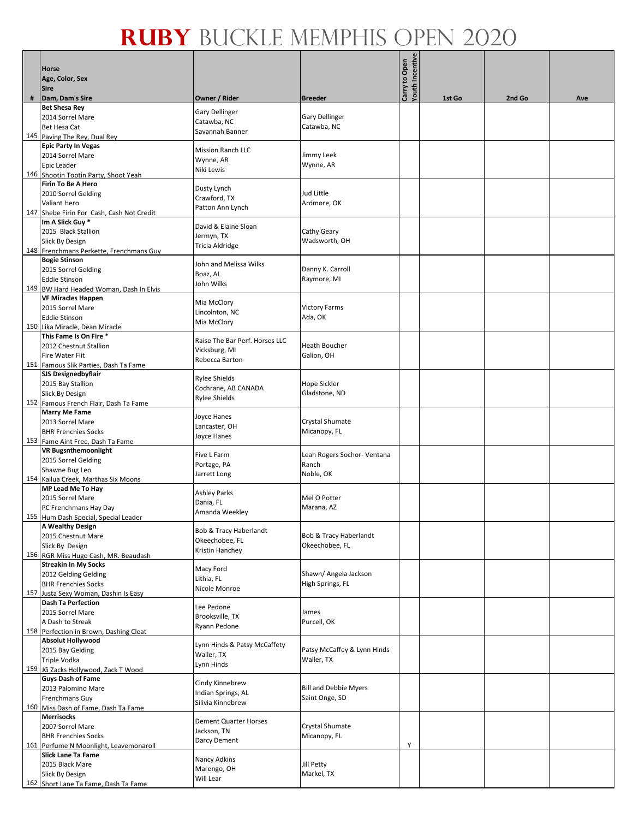|     | Horse<br>Age, Color, Sex<br><b>Sire</b>                             |                                  |                              | Carry to Open<br>Youth Incentive |        |        |     |
|-----|---------------------------------------------------------------------|----------------------------------|------------------------------|----------------------------------|--------|--------|-----|
| #   | Dam, Dam's Sire                                                     | Owner / Rider                    | <b>Breeder</b>               |                                  | 1st Go | 2nd Go | Ave |
|     | <b>Bet Shesa Rey</b>                                                | Gary Dellinger                   |                              |                                  |        |        |     |
|     | 2014 Sorrel Mare                                                    | Catawba, NC                      | <b>Gary Dellinger</b>        |                                  |        |        |     |
|     | Bet Hesa Cat                                                        | Savannah Banner                  | Catawba, NC                  |                                  |        |        |     |
|     | 145 Paving The Rey, Dual Rey                                        |                                  |                              |                                  |        |        |     |
|     | <b>Epic Party In Vegas</b>                                          | <b>Mission Ranch LLC</b>         | Jimmy Leek                   |                                  |        |        |     |
|     | 2014 Sorrel Mare<br>Epic Leader                                     | Wynne, AR                        | Wynne, AR                    |                                  |        |        |     |
|     | 146 Shootin Tootin Party, Shoot Yeah                                | Niki Lewis                       |                              |                                  |        |        |     |
|     | Firin To Be A Hero                                                  |                                  |                              |                                  |        |        |     |
|     | 2010 Sorrel Gelding                                                 | Dusty Lynch                      | Jud Little                   |                                  |        |        |     |
|     | Valiant Hero                                                        | Crawford, TX<br>Patton Ann Lynch | Ardmore, OK                  |                                  |        |        |     |
|     | 147 Shebe Firin For Cash, Cash Not Credit                           |                                  |                              |                                  |        |        |     |
|     | Im A Slick Guy *                                                    | David & Elaine Sloan             |                              |                                  |        |        |     |
|     | 2015 Black Stallion                                                 | Jermyn, TX                       | Cathy Geary                  |                                  |        |        |     |
|     | Slick By Design                                                     | Tricia Aldridge                  | Wadsworth, OH                |                                  |        |        |     |
|     | 148 Frenchmans Perkette, Frenchmans Guy                             |                                  |                              |                                  |        |        |     |
|     | <b>Bogie Stinson</b><br>2015 Sorrel Gelding                         | John and Melissa Wilks           | Danny K. Carroll             |                                  |        |        |     |
|     | <b>Eddie Stinson</b>                                                | Boaz, AL                         | Raymore, MI                  |                                  |        |        |     |
|     | 149 BW Hard Headed Woman, Dash In Elvis                             | John Wilks                       |                              |                                  |        |        |     |
|     | <b>VF Miracles Happen</b>                                           | Mia McClory                      |                              |                                  |        |        |     |
|     | 2015 Sorrel Mare                                                    | Lincolnton, NC                   | <b>Victory Farms</b>         |                                  |        |        |     |
|     | <b>Eddie Stinson</b>                                                | Mia McClory                      | Ada, OK                      |                                  |        |        |     |
|     | 150 Lika Miracle, Dean Miracle                                      |                                  |                              |                                  |        |        |     |
|     | This Fame Is On Fire *                                              | Raise The Bar Perf. Horses LLC   | <b>Heath Boucher</b>         |                                  |        |        |     |
|     | 2012 Chestnut Stallion                                              | Vicksburg, MI                    |                              |                                  |        |        |     |
|     | Fire Water Flit                                                     | Rebecca Barton                   | Galion, OH                   |                                  |        |        |     |
|     | 151 Famous Slik Parties, Dash Ta Fame<br><b>SJS Designedbyflair</b> |                                  |                              |                                  |        |        |     |
|     | 2015 Bay Stallion                                                   | Rylee Shields                    | Hope Sickler                 |                                  |        |        |     |
|     | Slick By Design                                                     | Cochrane, AB CANADA              | Gladstone, ND                |                                  |        |        |     |
|     | 152 Famous French Flair, Dash Ta Fame                               | Rylee Shields                    |                              |                                  |        |        |     |
|     | <b>Marry Me Fame</b>                                                | Joyce Hanes                      |                              |                                  |        |        |     |
|     | 2013 Sorrel Mare                                                    | Lancaster, OH                    | Crystal Shumate              |                                  |        |        |     |
|     | <b>BHR Frenchies Socks</b>                                          | Joyce Hanes                      | Micanopy, FL                 |                                  |        |        |     |
|     | 153 Fame Aint Free, Dash Ta Fame                                    |                                  |                              |                                  |        |        |     |
|     | <b>VR Bugsnthemoonlight</b>                                         | Five L Farm                      | Leah Rogers Sochor- Ventana  |                                  |        |        |     |
|     | 2015 Sorrel Gelding<br>Shawne Bug Leo                               | Portage, PA                      | Ranch                        |                                  |        |        |     |
|     | 154 Kailua Creek, Marthas Six Moons                                 | Jarrett Long                     | Noble, OK                    |                                  |        |        |     |
|     | MP Lead Me To Hay                                                   |                                  |                              |                                  |        |        |     |
|     | 2015 Sorrel Mare                                                    | <b>Ashley Parks</b>              | Mel O Potter                 |                                  |        |        |     |
|     | PC Frenchmans Hay Day                                               | Dania, FL                        | Marana, AZ                   |                                  |        |        |     |
|     | 155 Hum Dash Special, Special Leader                                | Amanda Weekley                   |                              |                                  |        |        |     |
|     | A Wealthy Design                                                    | Bob & Tracy Haberlandt           |                              |                                  |        |        |     |
|     | 2015 Chestnut Mare                                                  | Okeechobee, FL                   | Bob & Tracy Haberlandt       |                                  |        |        |     |
|     | Slick By Design<br>156 RGR Miss Hugo Cash, MR. Beaudash             | Kristin Hanchey                  | Okeechobee, FL               |                                  |        |        |     |
|     | <b>Streakin In My Socks</b>                                         |                                  |                              |                                  |        |        |     |
|     | 2012 Gelding Gelding                                                | Macy Ford                        | Shawn/ Angela Jackson        |                                  |        |        |     |
|     | <b>BHR Frenchies Socks</b>                                          | Lithia, FL                       | High Springs, FL             |                                  |        |        |     |
| 157 | Justa Sexy Woman, Dashin Is Easy                                    | Nicole Monroe                    |                              |                                  |        |        |     |
|     | <b>Dash Ta Perfection</b>                                           | Lee Pedone                       |                              |                                  |        |        |     |
|     | 2015 Sorrel Mare                                                    | Brooksville, TX                  | James                        |                                  |        |        |     |
|     | A Dash to Streak                                                    | Ryann Pedone                     | Purcell, OK                  |                                  |        |        |     |
|     | 158 Perfection in Brown, Dashing Cleat<br><b>Absolut Hollywood</b>  |                                  |                              |                                  |        |        |     |
|     | 2015 Bay Gelding                                                    | Lynn Hinds & Patsy McCaffety     | Patsy McCaffey & Lynn Hinds  |                                  |        |        |     |
|     | Triple Vodka                                                        | Waller, TX                       | Waller, TX                   |                                  |        |        |     |
|     | 159 JG Zacks Hollywood, Zack T Wood                                 | Lynn Hinds                       |                              |                                  |        |        |     |
|     | <b>Guys Dash of Fame</b>                                            | Cindy Kinnebrew                  |                              |                                  |        |        |     |
|     | 2013 Palomino Mare                                                  | Indian Springs, AL               | <b>Bill and Debbie Myers</b> |                                  |        |        |     |
|     | Frenchmans Guy                                                      | Silivia Kinnebrew                | Saint Onge, SD               |                                  |        |        |     |
|     | 160 Miss Dash of Fame, Dash Ta Fame                                 |                                  |                              |                                  |        |        |     |
|     | <b>Merrisocks</b>                                                   | <b>Dement Quarter Horses</b>     |                              |                                  |        |        |     |
|     | 2007 Sorrel Mare<br><b>BHR Frenchies Socks</b>                      | Jackson, TN                      | Crystal Shumate              |                                  |        |        |     |
|     | 161 Perfume N Moonlight, Leavemonaroll                              | Darcy Dement                     | Micanopy, FL                 | Υ                                |        |        |     |
|     | <b>Slick Lane Ta Fame</b>                                           |                                  |                              |                                  |        |        |     |
|     | 2015 Black Mare                                                     | Nancy Adkins                     | Jill Petty                   |                                  |        |        |     |
|     | Slick By Design                                                     | Marengo, OH<br>Will Lear         | Markel, TX                   |                                  |        |        |     |
|     | 162 Short Lane Ta Fame, Dash Ta Fame                                |                                  |                              |                                  |        |        |     |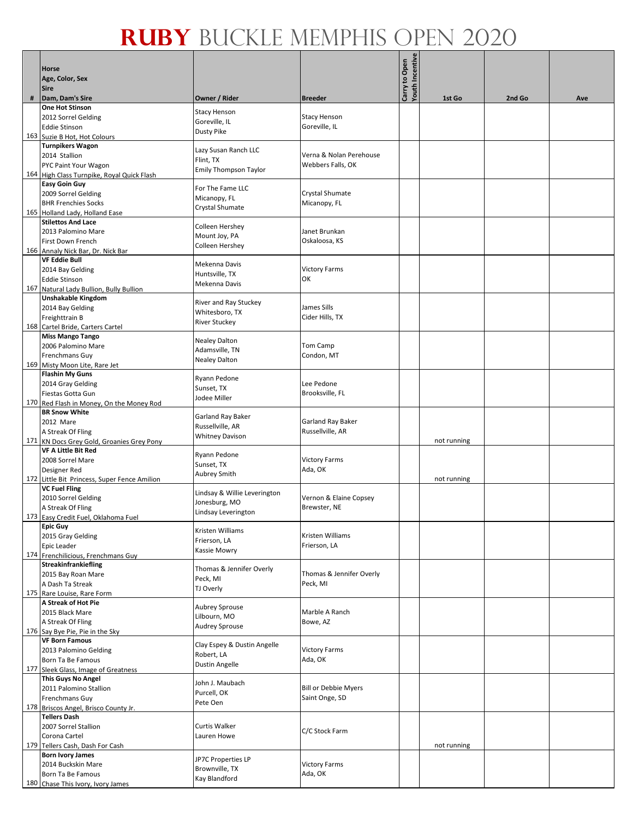|     | Horse<br>Age, Color, Sex<br><b>Sire</b>                                 |                              |                                      | Youth Incentive<br>Carry to Open |             |        |     |
|-----|-------------------------------------------------------------------------|------------------------------|--------------------------------------|----------------------------------|-------------|--------|-----|
| #   | Dam, Dam's Sire<br><b>One Hot Stinson</b>                               | Owner / Rider                | <b>Breeder</b>                       |                                  | 1st Go      | 2nd Go | Ave |
|     |                                                                         | <b>Stacy Henson</b>          |                                      |                                  |             |        |     |
|     | 2012 Sorrel Gelding<br><b>Eddie Stinson</b>                             | Goreville, IL                | <b>Stacy Henson</b><br>Goreville, IL |                                  |             |        |     |
| 163 |                                                                         | Dusty Pike                   |                                      |                                  |             |        |     |
|     | Suzie B Hot, Hot Colours<br><b>Turnpikers Wagon</b>                     |                              |                                      |                                  |             |        |     |
|     | 2014 Stallion                                                           | Lazy Susan Ranch LLC         | Verna & Nolan Perehouse              |                                  |             |        |     |
|     | PYC Paint Your Wagon                                                    | Flint, TX                    | Webbers Falls, OK                    |                                  |             |        |     |
|     | 164 High Class Turnpike, Royal Quick Flash                              | <b>Emily Thompson Taylor</b> |                                      |                                  |             |        |     |
|     | <b>Easy Goin Guy</b>                                                    |                              |                                      |                                  |             |        |     |
|     | 2009 Sorrel Gelding                                                     | For The Fame LLC             | Crystal Shumate                      |                                  |             |        |     |
|     | <b>BHR Frenchies Socks</b>                                              | Micanopy, FL                 | Micanopy, FL                         |                                  |             |        |     |
|     | 165 Holland Lady, Holland Ease                                          | Crystal Shumate              |                                      |                                  |             |        |     |
|     | <b>Stilettos And Lace</b>                                               | Colleen Hershey              |                                      |                                  |             |        |     |
|     | 2013 Palomino Mare                                                      | Mount Joy, PA                | Janet Brunkan                        |                                  |             |        |     |
|     | First Down French                                                       | Colleen Hershey              | Oskaloosa, KS                        |                                  |             |        |     |
|     | 166 Annaly Nick Bar, Dr. Nick Bar                                       |                              |                                      |                                  |             |        |     |
|     | <b>VF Eddie Bull</b>                                                    | Mekenna Davis                |                                      |                                  |             |        |     |
|     | 2014 Bay Gelding                                                        | Huntsville, TX               | <b>Victory Farms</b>                 |                                  |             |        |     |
|     | <b>Eddie Stinson</b>                                                    | Mekenna Davis                | ΟК                                   |                                  |             |        |     |
| 167 | Natural Lady Bullion, Bully Bullion                                     |                              |                                      |                                  |             |        |     |
|     | Unshakable Kingdom                                                      | River and Ray Stuckey        | James Sills                          |                                  |             |        |     |
|     | 2014 Bay Gelding<br>Freighttrain B                                      | Whitesboro, TX               | Cider Hills, TX                      |                                  |             |        |     |
|     | 168 Cartel Bride, Carters Cartel                                        | <b>River Stuckey</b>         |                                      |                                  |             |        |     |
|     | <b>Miss Mango Tango</b>                                                 |                              |                                      |                                  |             |        |     |
|     | 2006 Palomino Mare                                                      | <b>Nealey Dalton</b>         | Tom Camp                             |                                  |             |        |     |
|     | Frenchmans Guy                                                          | Adamsville, TN               | Condon, MT                           |                                  |             |        |     |
|     | 169 Misty Moon Lite, Rare Jet                                           | Nealey Dalton                |                                      |                                  |             |        |     |
|     | <b>Flashin My Guns</b>                                                  |                              |                                      |                                  |             |        |     |
|     | 2014 Gray Gelding                                                       | Ryann Pedone                 | Lee Pedone                           |                                  |             |        |     |
|     | Fiestas Gotta Gun                                                       | Sunset, TX<br>Jodee Miller   | Brooksville, FL                      |                                  |             |        |     |
|     | 170 Red Flash in Money, On the Money Rod                                |                              |                                      |                                  |             |        |     |
|     | <b>BR Snow White</b>                                                    | Garland Ray Baker            |                                      |                                  |             |        |     |
|     | 2012 Mare                                                               | Russellville, AR             | Garland Ray Baker                    |                                  |             |        |     |
|     | A Streak Of Fling                                                       | <b>Whitney Davison</b>       | Russellville, AR                     |                                  |             |        |     |
|     | 171 KN Docs Grey Gold, Groanies Grey Pony<br><b>VF A Little Bit Red</b> |                              |                                      |                                  | not running |        |     |
|     | 2008 Sorrel Mare                                                        | Ryann Pedone                 | <b>Victory Farms</b>                 |                                  |             |        |     |
|     | Designer Red                                                            | Sunset, TX                   | Ada, OK                              |                                  |             |        |     |
|     | 172 Little Bit Princess, Super Fence Amilion                            | Aubrey Smith                 |                                      |                                  | not running |        |     |
|     | <b>VC Fuel Fling</b>                                                    |                              |                                      |                                  |             |        |     |
|     | 2010 Sorrel Gelding                                                     | Lindsay & Willie Leverington | Vernon & Elaine Copsey               |                                  |             |        |     |
|     | A Streak Of Fling                                                       | Jonesburg, MO                | Brewster, NE                         |                                  |             |        |     |
|     | 173 Easy Credit Fuel, Oklahoma Fuel                                     | Lindsay Leverington          |                                      |                                  |             |        |     |
|     | <b>Epic Guy</b>                                                         | Kristen Williams             |                                      |                                  |             |        |     |
|     | 2015 Gray Gelding                                                       | Frierson, LA                 | Kristen Williams                     |                                  |             |        |     |
|     | Epic Leader                                                             | Kassie Mowry                 | Frierson, LA                         |                                  |             |        |     |
|     | 174 Frenchilicious, Frenchmans Guy                                      |                              |                                      |                                  |             |        |     |
|     | Streakinfrankiefling<br>2015 Bay Roan Mare                              | Thomas & Jennifer Overly     | Thomas & Jennifer Overly             |                                  |             |        |     |
|     | A Dash Ta Streak                                                        | Peck, MI                     | Peck, MI                             |                                  |             |        |     |
|     | 175 Rare Louise, Rare Form                                              | TJ Overly                    |                                      |                                  |             |        |     |
|     | A Streak of Hot Pie                                                     |                              |                                      |                                  |             |        |     |
|     | 2015 Black Mare                                                         | Aubrey Sprouse               | Marble A Ranch                       |                                  |             |        |     |
|     | A Streak Of Fling                                                       | Lilbourn, MO                 | Bowe, AZ                             |                                  |             |        |     |
|     | 176 Say Bye Pie, Pie in the Sky                                         | <b>Audrey Sprouse</b>        |                                      |                                  |             |        |     |
|     | <b>VF Born Famous</b>                                                   | Clay Espey & Dustin Angelle  |                                      |                                  |             |        |     |
|     | 2013 Palomino Gelding                                                   | Robert, LA                   | <b>Victory Farms</b>                 |                                  |             |        |     |
|     | Born Ta Be Famous                                                       | <b>Dustin Angelle</b>        | Ada, OK                              |                                  |             |        |     |
| 177 | Sleek Glass, Image of Greatness                                         |                              |                                      |                                  |             |        |     |
|     | <b>This Guys No Angel</b>                                               | John J. Maubach              |                                      |                                  |             |        |     |
|     | 2011 Palomino Stallion                                                  | Purcell, OK                  | <b>Bill or Debbie Myers</b>          |                                  |             |        |     |
|     | Frenchmans Guy                                                          | Pete Oen                     | Saint Onge, SD                       |                                  |             |        |     |
|     | 178 Briscos Angel, Brisco County Jr.                                    |                              |                                      |                                  |             |        |     |
|     | <b>Tellers Dash</b><br>2007 Sorrel Stallion                             | Curtis Walker                |                                      |                                  |             |        |     |
|     | Corona Cartel                                                           | Lauren Howe                  | C/C Stock Farm                       |                                  |             |        |     |
|     | 179 Tellers Cash, Dash For Cash                                         |                              |                                      |                                  | not running |        |     |
|     | <b>Born Ivory James</b>                                                 |                              |                                      |                                  |             |        |     |
|     | 2014 Buckskin Mare                                                      | JP7C Properties LP           | <b>Victory Farms</b>                 |                                  |             |        |     |
|     | Born Ta Be Famous                                                       | Brownville, TX               | Ada, OK                              |                                  |             |        |     |
|     | 180 Chase This Ivory, Ivory James                                       | Kay Blandford                |                                      |                                  |             |        |     |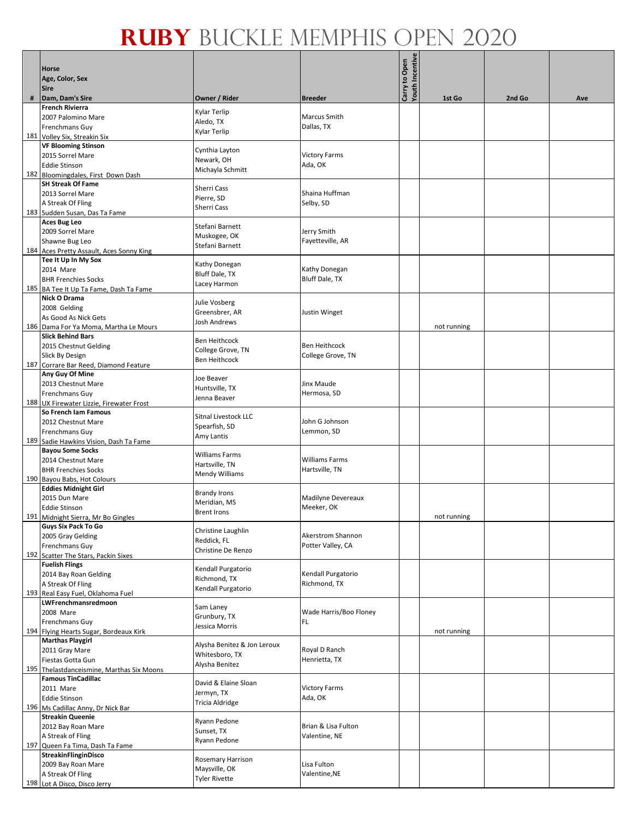|   | <b>Horse</b><br>Age, Color, Sex<br><b>Sire</b>                    |                                       |                                    | Carry to Open<br>Youth Incentive |             |        |     |
|---|-------------------------------------------------------------------|---------------------------------------|------------------------------------|----------------------------------|-------------|--------|-----|
| # | Dam, Dam's Sire                                                   | Owner / Rider                         | <b>Breeder</b>                     |                                  | 1st Go      | 2nd Go | Ave |
|   | <b>French Rivierra</b>                                            | Kylar Terlip                          |                                    |                                  |             |        |     |
|   | 2007 Palomino Mare                                                | Aledo, TX                             | <b>Marcus Smith</b>                |                                  |             |        |     |
|   | <b>Frenchmans Guy</b>                                             | Kylar Terlip                          | Dallas, TX                         |                                  |             |        |     |
|   | 181 Volley Six, Streakin Six<br><b>VF Blooming Stinson</b>        |                                       |                                    |                                  |             |        |     |
|   | 2015 Sorrel Mare                                                  | Cynthia Layton                        | <b>Victory Farms</b>               |                                  |             |        |     |
|   | <b>Eddie Stinson</b>                                              | Newark, OH<br>Michayla Schmitt        | Ada, OK                            |                                  |             |        |     |
|   | 182 Bloomingdales, First Down Dash                                |                                       |                                    |                                  |             |        |     |
|   | <b>SH Streak Of Fame</b>                                          | Sherri Cass                           |                                    |                                  |             |        |     |
|   | 2013 Sorrel Mare<br>A Streak Of Fling                             | Pierre, SD                            | Shaina Huffman<br>Selby, SD        |                                  |             |        |     |
|   | 183 Sudden Susan, Das Ta Fame                                     | Sherri Cass                           |                                    |                                  |             |        |     |
|   | <b>Aces Bug Leo</b>                                               | Stefani Barnett                       |                                    |                                  |             |        |     |
|   | 2009 Sorrel Mare                                                  | Muskogee, OK                          | Jerry Smith                        |                                  |             |        |     |
|   | Shawne Bug Leo                                                    | Stefani Barnett                       | Fayetteville, AR                   |                                  |             |        |     |
|   | 184 Aces Pretty Assault, Aces Sonny King<br>Tee It Up In My Sox   |                                       |                                    |                                  |             |        |     |
|   | 2014 Mare                                                         | Kathy Donegan                         | Kathy Donegan                      |                                  |             |        |     |
|   | <b>BHR Frenchies Socks</b>                                        | <b>Bluff Dale, TX</b><br>Lacey Harmon | <b>Bluff Dale, TX</b>              |                                  |             |        |     |
|   | 185 BA Tee It Up Ta Fame, Dash Ta Fame                            |                                       |                                    |                                  |             |        |     |
|   | Nick O Drama                                                      | Julie Vosberg                         |                                    |                                  |             |        |     |
|   | 2008 Gelding<br>As Good As Nick Gets                              | Greensbrer, AR                        | Justin Winget                      |                                  |             |        |     |
|   | 186 Dama For Ya Moma, Martha Le Mours                             | Josh Andrews                          |                                    |                                  | not running |        |     |
|   | <b>Slick Behind Bars</b>                                          | <b>Ben Heithcock</b>                  |                                    |                                  |             |        |     |
|   | 2015 Chestnut Gelding                                             | College Grove, TN                     | <b>Ben Heithcock</b>               |                                  |             |        |     |
|   | Slick By Design                                                   | <b>Ben Heithcock</b>                  | College Grove, TN                  |                                  |             |        |     |
|   | 187 Corrare Bar Reed, Diamond Feature<br>Any Guy Of Mine          |                                       |                                    |                                  |             |        |     |
|   | 2013 Chestnut Mare                                                | Joe Beaver                            | Jinx Maude                         |                                  |             |        |     |
|   | <b>Frenchmans Guy</b>                                             | Huntsville, TX<br>Jenna Beaver        | Hermosa, SD                        |                                  |             |        |     |
|   | 188 UX Firewater Lizzie, Firewater Frost                          |                                       |                                    |                                  |             |        |     |
|   | So French Iam Famous                                              | Sitnal Livestock LLC                  | John G Johnson                     |                                  |             |        |     |
|   | 2012 Chestnut Mare<br><b>Frenchmans Guy</b>                       | Spearfish, SD                         | Lemmon, SD                         |                                  |             |        |     |
|   | 189 Sadie Hawkins Vision, Dash Ta Fame                            | Amy Lantis                            |                                    |                                  |             |        |     |
|   | <b>Bayou Some Socks</b>                                           | <b>Williams Farms</b>                 |                                    |                                  |             |        |     |
|   | 2014 Chestnut Mare                                                | Hartsville, TN                        | <b>Williams Farms</b>              |                                  |             |        |     |
|   | <b>BHR Frenchies Socks</b><br>190 Bayou Babs, Hot Colours         | Mendy Williams                        | Hartsville, TN                     |                                  |             |        |     |
|   | <b>Eddies Midnight Girl</b>                                       |                                       |                                    |                                  |             |        |     |
|   | 2015 Dun Mare                                                     | <b>Brandy Irons</b><br>Meridian, MS   | Madilyne Devereaux                 |                                  |             |        |     |
|   | <b>Eddie Stinson</b>                                              | <b>Brent Irons</b>                    | Meeker, OK                         |                                  |             |        |     |
|   | 191 Midnight Sierra, Mr Bo Gingles<br><b>Guys Six Pack To Go</b>  |                                       |                                    |                                  | not running |        |     |
|   | 2005 Gray Gelding                                                 | Christine Laughlin                    | Akerstrom Shannon                  |                                  |             |        |     |
|   | Frenchmans Guy                                                    | Reddick, FL                           | Potter Valley, CA                  |                                  |             |        |     |
|   | 192 Scatter The Stars, Packin Sixes                               | Christine De Renzo                    |                                    |                                  |             |        |     |
|   | <b>Fuelish Flings</b>                                             | Kendall Purgatorio                    |                                    |                                  |             |        |     |
|   | 2014 Bay Roan Gelding<br>A Streak Of Fling                        | Richmond, TX                          | Kendall Purgatorio<br>Richmond, TX |                                  |             |        |     |
|   | 193 Real Easy Fuel, Oklahoma Fuel                                 | Kendall Purgatorio                    |                                    |                                  |             |        |     |
|   | LWFrenchmansredmoon                                               | Sam Laney                             |                                    |                                  |             |        |     |
|   | 2008 Mare                                                         | Grunbury, TX                          | Wade Harris/Boo Floney             |                                  |             |        |     |
|   | <b>Frenchmans Guy</b>                                             | Jessica Morris                        | IFL.                               |                                  | not running |        |     |
|   | 194 Flying Hearts Sugar, Bordeaux Kirk<br><b>Marthas Playgirl</b> |                                       |                                    |                                  |             |        |     |
|   | 2011 Gray Mare                                                    | Alysha Benitez & Jon Leroux           | Royal D Ranch                      |                                  |             |        |     |
|   | Fiestas Gotta Gun                                                 | Whitesboro, TX<br>Alysha Benitez      | Henrietta, TX                      |                                  |             |        |     |
|   | 195 Thelastdanceismine, Marthas Six Moons                         |                                       |                                    |                                  |             |        |     |
|   | <b>Famous TinCadillac</b><br>2011 Mare                            | David & Elaine Sloan                  | <b>Victory Farms</b>               |                                  |             |        |     |
|   | <b>Eddie Stinson</b>                                              | Jermyn, TX                            | Ada, OK                            |                                  |             |        |     |
|   | 196 Ms Cadillac Anny, Dr Nick Bar                                 | Tricia Aldridge                       |                                    |                                  |             |        |     |
|   | <b>Streakin Queenie</b>                                           | Ryann Pedone                          |                                    |                                  |             |        |     |
|   | 2012 Bay Roan Mare                                                | Sunset, TX                            | Brian & Lisa Fulton                |                                  |             |        |     |
|   | A Streak of Fling<br>197 Queen Fa Tima, Dash Ta Fame              | Ryann Pedone                          | Valentine, NE                      |                                  |             |        |     |
|   | StreakinFlinginDisco                                              |                                       |                                    |                                  |             |        |     |
|   | 2009 Bay Roan Mare                                                | Rosemary Harrison<br>Maysville, OK    | Lisa Fulton                        |                                  |             |        |     |
|   | A Streak Of Fling                                                 | <b>Tyler Rivette</b>                  | Valentine, NE                      |                                  |             |        |     |
|   | 198 Lot A Disco, Disco Jerry                                      |                                       |                                    |                                  |             |        |     |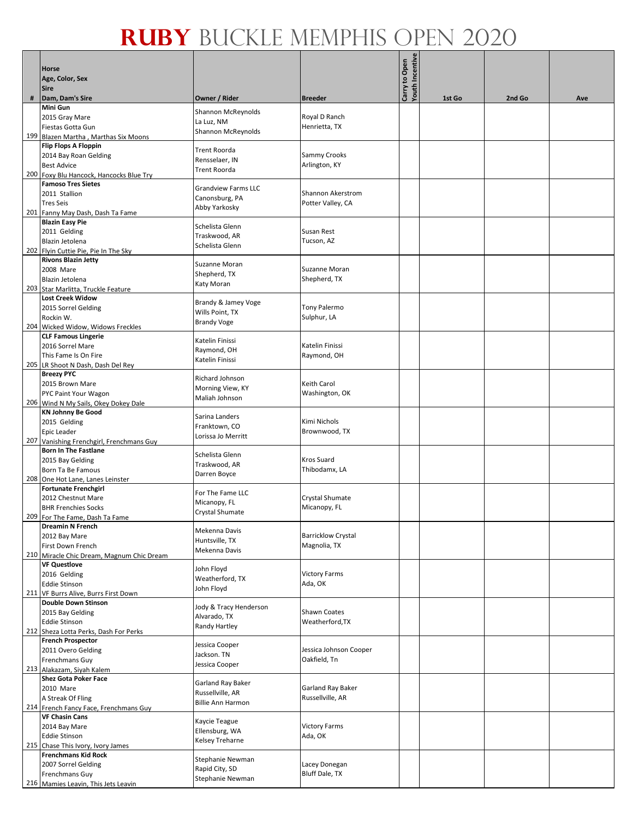|   | <b>Horse</b><br>Age, Color, Sex<br><b>Sire</b>               |                                  |                                      | Youth Incentive<br>Carry to Open |        |        |     |
|---|--------------------------------------------------------------|----------------------------------|--------------------------------------|----------------------------------|--------|--------|-----|
| # | Dam, Dam's Sire                                              | Owner / Rider                    | <b>Breeder</b>                       |                                  | 1st Go | 2nd Go | Ave |
|   | <b>Mini Gun</b>                                              | Shannon McReynolds               |                                      |                                  |        |        |     |
|   | 2015 Gray Mare                                               | La Luz, NM                       | Royal D Ranch                        |                                  |        |        |     |
|   | Fiestas Gotta Gun                                            | Shannon McReynolds               | Henrietta, TX                        |                                  |        |        |     |
|   | 199 Blazen Martha, Marthas Six Moons                         |                                  |                                      |                                  |        |        |     |
|   | <b>Flip Flops A Floppin</b>                                  | Trent Roorda                     |                                      |                                  |        |        |     |
|   | 2014 Bay Roan Gelding<br><b>Best Advice</b>                  | Rensselaer, IN                   | <b>Sammy Crooks</b><br>Arlington, KY |                                  |        |        |     |
|   | 200 Foxy Blu Hancock, Hancocks Blue Try                      | Trent Roorda                     |                                      |                                  |        |        |     |
|   | <b>Famoso Tres Sietes</b>                                    |                                  |                                      |                                  |        |        |     |
|   | 2011 Stallion                                                | <b>Grandview Farms LLC</b>       | Shannon Akerstrom                    |                                  |        |        |     |
|   | <b>Tres Seis</b>                                             | Canonsburg, PA                   | Potter Valley, CA                    |                                  |        |        |     |
|   | 201 Fanny May Dash, Dash Ta Fame                             | Abby Yarkosky                    |                                      |                                  |        |        |     |
|   | <b>Blazin Easy Pie</b>                                       |                                  |                                      |                                  |        |        |     |
|   | 2011 Gelding                                                 | Schelista Glenn                  | Susan Rest                           |                                  |        |        |     |
|   | Blazin Jetolena                                              | Traskwood, AR<br>Schelista Glenn | Tucson, AZ                           |                                  |        |        |     |
|   | 202 Flyin Cuttie Pie, Pie In The Sky                         |                                  |                                      |                                  |        |        |     |
|   | <b>Rivons Blazin Jetty</b>                                   | Suzanne Moran                    |                                      |                                  |        |        |     |
|   | 2008 Mare                                                    | Shepherd, TX                     | <b>Suzanne Moran</b>                 |                                  |        |        |     |
|   | Blazin Jetolena                                              | Katy Moran                       | Shepherd, TX                         |                                  |        |        |     |
|   | 203 Star Marlitta, Truckle Feature                           |                                  |                                      |                                  |        |        |     |
|   | <b>Lost Creek Widow</b>                                      | Brandy & Jamey Voge              |                                      |                                  |        |        |     |
|   | 2015 Sorrel Gelding                                          | Wills Point, TX                  | Tony Palermo                         |                                  |        |        |     |
|   | Rockin W.<br>204 Wicked Widow, Widows Freckles               | <b>Brandy Voge</b>               | Sulphur, LA                          |                                  |        |        |     |
|   | <b>CLF Famous Lingerie</b>                                   |                                  |                                      |                                  |        |        |     |
|   | 2016 Sorrel Mare                                             | Katelin Finissi                  | Katelin Finissi                      |                                  |        |        |     |
|   | This Fame Is On Fire                                         | Raymond, OH                      | Raymond, OH                          |                                  |        |        |     |
|   | 205 LR Shoot N Dash, Dash Del Rey                            | Katelin Finissi                  |                                      |                                  |        |        |     |
|   | <b>Breezy PYC</b>                                            |                                  |                                      |                                  |        |        |     |
|   | 2015 Brown Mare                                              | Richard Johnson                  | Keith Carol                          |                                  |        |        |     |
|   | PYC Paint Your Wagon                                         | Morning View, KY                 | Washington, OK                       |                                  |        |        |     |
|   | 206 Wind N My Sails, Okey Dokey Dale                         | Maliah Johnson                   |                                      |                                  |        |        |     |
|   | <b>KN Johnny Be Good</b>                                     | Sarina Landers                   |                                      |                                  |        |        |     |
|   | 2015 Gelding                                                 | Franktown, CO                    | Kimi Nichols                         |                                  |        |        |     |
|   | Epic Leader                                                  | Lorissa Jo Merritt               | Brownwood, TX                        |                                  |        |        |     |
|   | 207 Vanishing Frenchgirl, Frenchmans Guy                     |                                  |                                      |                                  |        |        |     |
|   | <b>Born In The Fastlane</b>                                  | Schelista Glenn                  | <b>Kros Suard</b>                    |                                  |        |        |     |
|   | 2015 Bay Gelding<br>Born Ta Be Famous                        | Traskwood, AR                    | Thibodamx, LA                        |                                  |        |        |     |
|   | 208 One Hot Lane, Lanes Leinster                             | Darren Boyce                     |                                      |                                  |        |        |     |
|   | <b>Fortunate Frenchgirl</b>                                  |                                  |                                      |                                  |        |        |     |
|   | 2012 Chestnut Mare                                           | For The Fame LLC                 | Crystal Shumate                      |                                  |        |        |     |
|   | <b>BHR Frenchies Socks</b>                                   | Micanopy, FL                     | Micanopy, FL                         |                                  |        |        |     |
|   | 209 For The Fame, Dash Ta Fame                               | Crystal Shumate                  |                                      |                                  |        |        |     |
|   | <b>Dreamin N French</b>                                      | Mekenna Davis                    |                                      |                                  |        |        |     |
|   | 2012 Bay Mare                                                | Huntsville, TX                   | <b>Barricklow Crystal</b>            |                                  |        |        |     |
|   | First Down French                                            | Mekenna Davis                    | Magnolia, TX                         |                                  |        |        |     |
|   | 210 Miracle Chic Dream, Magnum Chic Dream                    |                                  |                                      |                                  |        |        |     |
|   | <b>VF Questlove</b>                                          | John Floyd                       |                                      |                                  |        |        |     |
|   | 2016 Gelding                                                 | Weatherford, TX                  | <b>Victory Farms</b><br>Ada, OK      |                                  |        |        |     |
|   | <b>Eddie Stinson</b><br>211 VF Burrs Alive, Burrs First Down | John Floyd                       |                                      |                                  |        |        |     |
|   | <b>Double Down Stinson</b>                                   |                                  |                                      |                                  |        |        |     |
|   | 2015 Bay Gelding                                             | Jody & Tracy Henderson           | Shawn Coates                         |                                  |        |        |     |
|   | <b>Eddie Stinson</b>                                         | Alvarado, TX                     | Weatherford, TX                      |                                  |        |        |     |
|   | 212 Sheza Lotta Perks, Dash For Perks                        | Randy Hartley                    |                                      |                                  |        |        |     |
|   | <b>French Prospector</b>                                     | Jessica Cooper                   |                                      |                                  |        |        |     |
|   | 2011 Overo Gelding                                           | Jackson. TN                      | Jessica Johnson Cooper               |                                  |        |        |     |
|   | Frenchmans Guy                                               | Jessica Cooper                   | Oakfield, Tn                         |                                  |        |        |     |
|   | 213 Alakazam, Siyah Kalem                                    |                                  |                                      |                                  |        |        |     |
|   | <b>Shez Gota Poker Face</b>                                  | Garland Ray Baker                |                                      |                                  |        |        |     |
|   | 2010 Mare                                                    | Russellville, AR                 | Garland Ray Baker                    |                                  |        |        |     |
|   | A Streak Of Fling                                            | <b>Billie Ann Harmon</b>         | Russellville, AR                     |                                  |        |        |     |
|   | 214 French Fancy Face, Frenchmans Guy                        |                                  |                                      |                                  |        |        |     |
|   | <b>VF Chasin Cans</b>                                        | Kaycie Teague                    | <b>Victory Farms</b>                 |                                  |        |        |     |
|   | 2014 Bay Mare<br><b>Eddie Stinson</b>                        | Ellensburg, WA                   | Ada, OK                              |                                  |        |        |     |
|   | 215 Chase This Ivory, Ivory James                            | Kelsey Treharne                  |                                      |                                  |        |        |     |
|   | <b>Frenchmans Kid Rock</b>                                   |                                  |                                      |                                  |        |        |     |
|   | 2007 Sorrel Gelding                                          | Stephanie Newman                 | Lacey Donegan                        |                                  |        |        |     |
|   | Frenchmans Guy                                               | Rapid City, SD                   | <b>Bluff Dale, TX</b>                |                                  |        |        |     |
|   | 216 Mamies Leavin, This Jets Leavin                          | Stephanie Newman                 |                                      |                                  |        |        |     |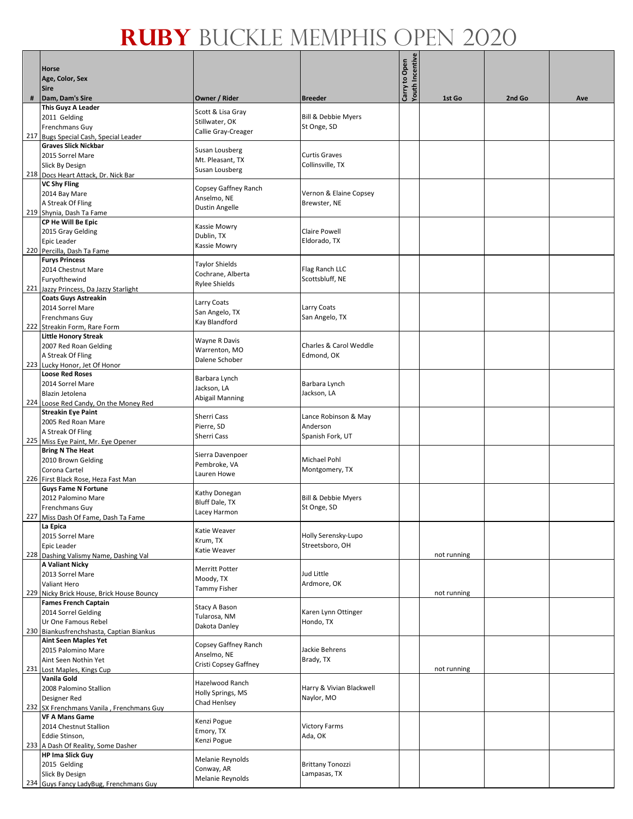|     | Horse                                                             |                                     |                                        | Carry to Open<br>Youth Incentive |             |        |     |
|-----|-------------------------------------------------------------------|-------------------------------------|----------------------------------------|----------------------------------|-------------|--------|-----|
|     | Age, Color, Sex<br><b>Sire</b>                                    |                                     |                                        |                                  |             |        |     |
| #   | Dam, Dam's Sire                                                   | Owner / Rider                       | <b>Breeder</b>                         |                                  | 1st Go      | 2nd Go | Ave |
|     | This Guyz A Leader                                                | Scott & Lisa Gray                   |                                        |                                  |             |        |     |
|     | 2011 Gelding                                                      | Stillwater, OK                      | Bill & Debbie Myers                    |                                  |             |        |     |
|     | Frenchmans Guy<br>217 Bugs Special Cash, Special Leader           | Callie Gray-Creager                 | St Onge, SD                            |                                  |             |        |     |
|     | <b>Graves Slick Nickbar</b>                                       |                                     |                                        |                                  |             |        |     |
|     | 2015 Sorrel Mare                                                  | Susan Lousberg<br>Mt. Pleasant, TX  | <b>Curtis Graves</b>                   |                                  |             |        |     |
|     | Slick By Design                                                   | Susan Lousberg                      | Collinsville, TX                       |                                  |             |        |     |
|     | 218 Docs Heart Attack, Dr. Nick Bar<br><b>VC Shy Fling</b>        |                                     |                                        |                                  |             |        |     |
|     | 2014 Bay Mare                                                     | Copsey Gaffney Ranch<br>Anselmo, NE | Vernon & Elaine Copsey                 |                                  |             |        |     |
|     | A Streak Of Fling                                                 | Dustin Angelle                      | Brewster, NE                           |                                  |             |        |     |
|     | 219 Shynia, Dash Ta Fame<br>CP He Will Be Epic                    |                                     |                                        |                                  |             |        |     |
|     | 2015 Gray Gelding                                                 | Kassie Mowry                        | Claire Powell                          |                                  |             |        |     |
|     | Epic Leader                                                       | Dublin, TX<br>Kassie Mowry          | Eldorado, TX                           |                                  |             |        |     |
|     | 220 Percilla, Dash Ta Fame                                        |                                     |                                        |                                  |             |        |     |
|     | <b>Furys Princess</b><br>2014 Chestnut Mare                       | Taylor Shields                      | Flag Ranch LLC                         |                                  |             |        |     |
|     | Furyofthewind                                                     | Cochrane, Alberta                   | Scottsbluff, NE                        |                                  |             |        |     |
| 221 | Jazzy Princess, Da Jazzy Starlight                                | Rylee Shields                       |                                        |                                  |             |        |     |
|     | <b>Coats Guys Astreakin</b><br>2014 Sorrel Mare                   | Larry Coats                         |                                        |                                  |             |        |     |
|     | Frenchmans Guy                                                    | San Angelo, TX                      | Larry Coats<br>San Angelo, TX          |                                  |             |        |     |
|     | 222 Streakin Form, Rare Form                                      | Kay Blandford                       |                                        |                                  |             |        |     |
|     | <b>Little Honory Streak</b>                                       | Wayne R Davis                       |                                        |                                  |             |        |     |
|     | 2007 Red Roan Gelding<br>A Streak Of Fling                        | Warrenton, MO                       | Charles & Carol Weddle<br>Edmond, OK   |                                  |             |        |     |
|     | 223 Lucky Honor, Jet Of Honor                                     | Dalene Schober                      |                                        |                                  |             |        |     |
|     | <b>Loose Red Roses</b>                                            | Barbara Lynch                       |                                        |                                  |             |        |     |
|     | 2014 Sorrel Mare                                                  | Jackson, LA                         | Barbara Lynch                          |                                  |             |        |     |
|     | Blazin Jetolena<br>224 Loose Red Candy, On the Money Red          | Abigail Manning                     | Jackson, LA                            |                                  |             |        |     |
|     | <b>Streakin Eye Paint</b>                                         |                                     |                                        |                                  |             |        |     |
|     | 2005 Red Roan Mare                                                | Sherri Cass<br>Pierre, SD           | Lance Robinson & May<br>Anderson       |                                  |             |        |     |
|     | A Streak Of Fling                                                 | Sherri Cass                         | Spanish Fork, UT                       |                                  |             |        |     |
|     | 225 Miss Eye Paint, Mr. Eye Opener<br><b>Bring N The Heat</b>     |                                     |                                        |                                  |             |        |     |
|     | 2010 Brown Gelding                                                | Sierra Davenpoer<br>Pembroke, VA    | <b>Michael Pohl</b>                    |                                  |             |        |     |
|     | Corona Cartel                                                     | Lauren Howe                         | Montgomery, TX                         |                                  |             |        |     |
|     | 226 First Black Rose, Heza Fast Man<br><b>Guys Fame N Fortune</b> |                                     |                                        |                                  |             |        |     |
|     | 2012 Palomino Mare                                                | Kathy Donegan                       | <b>Bill &amp; Debbie Myers</b>         |                                  |             |        |     |
|     | Frenchmans Guy                                                    | Bluff Dale, TX<br>Lacey Harmon      | St Onge, SD                            |                                  |             |        |     |
|     | 227 Miss Dash Of Fame, Dash Ta Fame                               |                                     |                                        |                                  |             |        |     |
|     | La Epica<br>2015 Sorrel Mare                                      | Katie Weaver                        | Holly Serensky-Lupo                    |                                  |             |        |     |
|     | Epic Leader                                                       | Krum, TX<br>Katie Weaver            | Streetsboro, OH                        |                                  |             |        |     |
|     | 228 Dashing Valismy Name, Dashing Val                             |                                     |                                        |                                  | not running |        |     |
|     | <b>A Valiant Nicky</b><br>2013 Sorrel Mare                        | <b>Merritt Potter</b>               | Jud Little                             |                                  |             |        |     |
|     | Valiant Hero                                                      | Moody, TX                           | Ardmore, OK                            |                                  |             |        |     |
| 229 | Nicky Brick House, Brick House Bouncy                             | Tammy Fisher                        |                                        |                                  | not running |        |     |
|     | <b>Fames French Captain</b><br>2014 Sorrel Gelding                | Stacy A Bason                       | Karen Lynn Ottinger                    |                                  |             |        |     |
|     | Ur One Famous Rebel                                               | Tularosa, NM                        | Hondo, TX                              |                                  |             |        |     |
|     | 230 Biankusfrenchshasta, Captian Biankus                          | Dakota Danley                       |                                        |                                  |             |        |     |
|     | <b>Aint Seen Maples Yet</b>                                       | Copsey Gaffney Ranch                |                                        |                                  |             |        |     |
|     | 2015 Palomino Mare<br>Aint Seen Nothin Yet                        | Anselmo, NE                         | Jackie Behrens<br>Brady, TX            |                                  |             |        |     |
|     | 231 Lost Maples, Kings Cup                                        | Cristi Copsey Gaffney               |                                        |                                  | not running |        |     |
|     | Vanila Gold                                                       | Hazelwood Ranch                     |                                        |                                  |             |        |     |
|     | 2008 Palomino Stallion                                            | Holly Springs, MS                   | Harry & Vivian Blackwell<br>Naylor, MO |                                  |             |        |     |
|     | Designer Red<br>232 SX Frenchmans Vanila, Frenchmans Guy          | Chad Henlsey                        |                                        |                                  |             |        |     |
|     | <b>VF A Mans Game</b>                                             | Kenzi Pogue                         |                                        |                                  |             |        |     |
|     | 2014 Chestnut Stallion                                            | Emory, TX                           | <b>Victory Farms</b>                   |                                  |             |        |     |
|     | Eddie Stinson,<br>233 A Dash Of Reality, Some Dasher              | Kenzi Pogue                         | Ada, OK                                |                                  |             |        |     |
|     | <b>HP Ima Slick Guy</b>                                           |                                     |                                        |                                  |             |        |     |
|     | 2015 Gelding                                                      | Melanie Reynolds<br>Conway, AR      | <b>Brittany Tonozzi</b>                |                                  |             |        |     |
|     | Slick By Design                                                   | Melanie Reynolds                    | Lampasas, TX                           |                                  |             |        |     |
|     | 234 Guys Fancy LadyBug, Frenchmans Guy                            |                                     |                                        |                                  |             |        |     |